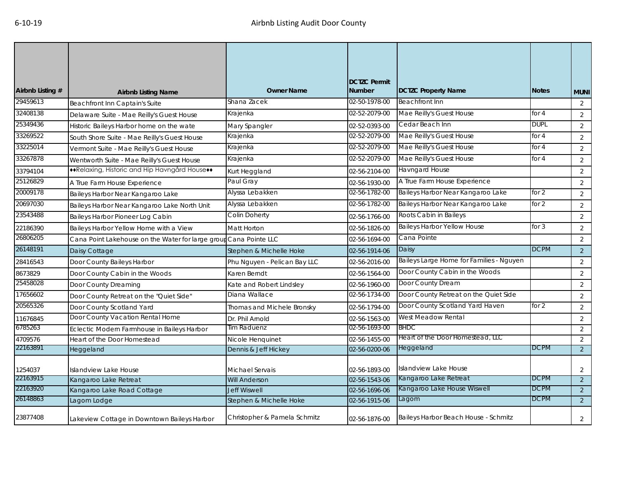| Airbnb Listing # | <b>Airbnb Listing Name</b>                                        | <b>Owner Name</b>            | <b>DCTZC Permit</b><br><b>Number</b> | <b>DCTZC Property Name</b>               | <b>Notes</b> | <b>MUNI</b>    |
|------------------|-------------------------------------------------------------------|------------------------------|--------------------------------------|------------------------------------------|--------------|----------------|
| 29459613         | Beachfront Inn Captain's Suite                                    | Shana Zacek                  | 02-50-1978-00                        | <b>Beachfront Inn</b>                    |              | $\overline{2}$ |
| 32408138         | Delaware Suite - Mae Reilly's Guest House                         | Krajenka                     | 02-52-2079-00                        | Mae Reilly's Guest House                 | for 4        | 2              |
| 25349436         | Historic Baileys Harbor home on the wate                          | Mary Spangler                | 02-52-0393-00                        | Cedar Beach Inn                          | <b>DUPL</b>  | $\overline{2}$ |
| 33269522         | South Shore Suite - Mae Reilly's Guest House                      | Krajenka                     | 02-52-2079-00                        | Mae Reilly's Guest House                 | for $4$      | 2              |
| 33225014         | Vermont Suite - Mae Reilly's Guest House                          | Krajenka                     | 02-52-2079-00                        | Mae Reilly's Guest House                 | for $4$      | 2              |
| 33267878         | Wentworth Suite - Mae Reilly's Guest House                        | Krajenka                     | 02-52-2079-00                        | Mae Reilly's Guest House                 | for 4        | 2              |
| 33794104         | **Relaxing, Historic and Hip Havngård House**                     | Kurt Heggland                | 02-56-2104-00                        | <b>Havngard House</b>                    |              | 2              |
| 25126829         | A True Farm House Experience                                      | Paul Gray                    | 02-56-1930-00                        | A True Farm House Experience             |              | 2              |
| 20009178         | Baileys Harbor Near Kangaroo Lake                                 | Alyssa Lebakken              | 02-56-1782-00                        | Baileys Harbor Near Kangaroo Lake        | for 2        | $\overline{2}$ |
| 20697030         | Baileys Harbor Near Kangaroo Lake North Unit                      | Alyssa Lebakken              | 02-56-1782-00                        | Baileys Harbor Near Kangaroo Lake        | for 2        | $\overline{2}$ |
| 23543488         | Baileys Harbor Pioneer Log Cabin                                  | <b>Colin Doherty</b>         | 02-56-1766-00                        | Roots Cabin in Baileys                   |              | 2              |
| 22186390         | Baileys Harbor Yellow Home with a View                            | Matt Horton                  | 02-56-1826-00                        | <b>Baileys Harbor Yellow House</b>       | for $3$      | $\overline{2}$ |
| 26806205         | Cana Point Lakehouse on the Water for large group Cana Pointe LLC |                              | 02-56-1694-00                        | Cana Pointe                              |              | 2              |
| 26148191         | Daisy Cottage                                                     | Stephen & Michelle Hoke      | 02-56-1914-06                        | Daisy                                    | <b>DCPM</b>  | 2              |
| 28416543         | Door County Baileys Harbor                                        | Phu Nguyen - Pelican Bay LLC | 02-56-2016-00                        | Baileys Large Home for Families - Nguyen |              | 2              |
| 8673829          | Door County Cabin in the Woods                                    | Karen Berndt                 | 02-56-1564-00                        | Door County Cabin in the Woods           |              | 2              |
| 25458028         | Door County Dreaming                                              | Kate and Robert Lindsley     | 02-56-1960-00                        | Door County Dream                        |              | $\overline{2}$ |
| 17656602         | Door County Retreat on the "Quiet Side"                           | Diana Wallace                | 02-56-1734-00                        | Door County Retreat on the Quiet Side    |              | 2              |
| 20565326         | Door County Scotland Yard                                         | Thomas and Michele Bronsky   | 02-56-1794-00                        | Door County Scotland Yard Haven          | for $2$      | 2              |
| 11676845         | Door County Vacation Rental Home                                  | Dr. Phil Arnold              | 02-56-1563-00                        | West Meadow Rental                       |              | 2              |
| 6785263          | Eclectic Modern Farmhouse in Baileys Harbor                       | Tim Raduenz                  | 02-56-1693-00                        | <b>BHDC</b>                              |              | 2              |
| 4709576          | Heart of the Door Homestead                                       | Nicole Henquinet             | 02-56-1455-00                        | Heart of the Door Homestead, LLC         |              | 2              |
| 22163891         | Heggeland                                                         | Dennis & Jeff Hickey         | 02-56-0200-06                        | Heggeland                                | <b>DCPM</b>  | 2              |
| 1254037          | Islandview Lake House                                             | Michael Servais              | 02-56-1893-00                        | <b>Islandview Lake House</b>             |              | $\overline{2}$ |
| 22163915         | Kangaroo Lake Retreat                                             | <b>Will Anderson</b>         | 02-56-1543-06                        | Kangaroo Lake Retreat                    | <b>DCPM</b>  | 2              |
| 22163920         | Kangaroo Lake Road Cottage                                        | <b>Jeff Wiswell</b>          | 02-56-1696-06                        | Kangaroo Lake House Wiswell              | <b>DCPM</b>  | $\overline{2}$ |
| 26148863         | Lagom Lodge                                                       | Stephen & Michelle Hoke      | 02-56-1915-06                        | Lagom                                    | <b>DCPM</b>  | $\overline{2}$ |
| 23877408         | Lakeview Cottage in Downtown Baileys Harbor                       | Christopher & Pamela Schmitz | 02-56-1876-00                        | Baileys Harbor Beach House - Schmitz     |              | $\overline{2}$ |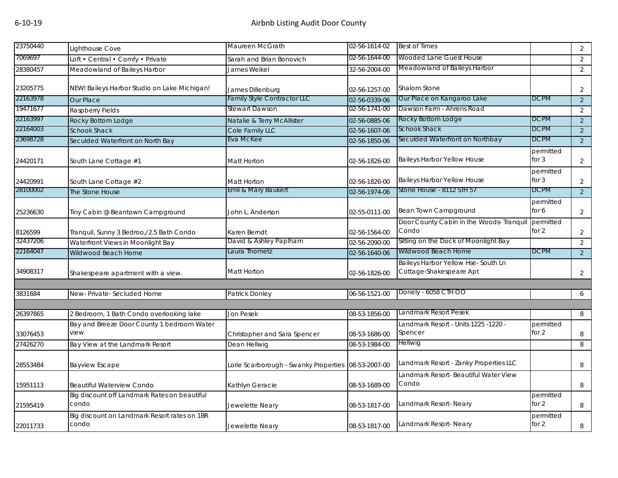| 23750440 | Lighthouse Cove                                       | Maureen McGrath                      | 02-56-1614-02 | <b>Best of Times</b>                                          |                      | $\overline{2}$ |
|----------|-------------------------------------------------------|--------------------------------------|---------------|---------------------------------------------------------------|----------------------|----------------|
| 7069697  | Loft • Central • Comfy • Private                      | Sarah and Brian Bonovich             | 02-56-1644-00 | Wooded Lane Guest House                                       |                      | $\overline{2}$ |
| 28380457 | Meadowland of Baileys Harbor                          | James Weikel                         | 32-56-2004-00 | Meadowland of Baileys Harbor                                  |                      | $\overline{2}$ |
| 23205775 | NEW! Baileys Harbor Studio on Lake Michigan!          | James Dillenburg                     | 02-56-1257-00 | <b>Shalom Stone</b>                                           |                      | $\overline{2}$ |
| 22163978 | Our Place                                             | <b>Family Style Contractor LLC</b>   | 02-56-0339-06 | Our Place on Kangaroo Lake                                    | <b>DCPM</b>          | $\overline{2}$ |
| 19471677 | Raspberry Fields                                      | Stewart Dawson                       | 02-56-1741-00 | Dawson Farm - Ahrens Road                                     |                      | 2              |
| 22163997 | Rocky Bottom Lodge                                    | Natalie & Terry McAllister           | 02-56-0885-06 | Rocky Bottom Lodge                                            | <b>DCPM</b>          | $\overline{2}$ |
| 22164003 | <b>Schook Shack</b>                                   | Cole Family LLC                      | 02-56-1607-06 | <b>Schook Shack</b>                                           | <b>DCPM</b>          | $\overline{2}$ |
| 23698728 | Seculded Waterfront on North Bay                      | Eva McKee                            | 02-56-1850-06 | Seculded Waterfront on Northbay                               | <b>DCPM</b>          | $\overline{2}$ |
| 24420171 | South Lane Cottage #1                                 | Matt Horton                          | 02-56-1826-00 | Baileys Harbor Yellow House                                   | permitted<br>for $3$ | $\overline{2}$ |
| 24420991 | South Lane Cottage #2                                 | Matt Horton                          | 02-56-1826-00 | Baileys Harbor Yellow House                                   | permitted<br>for $3$ | $\overline{2}$ |
| 28100002 | The Stone House                                       | Emil & Mary Baukert                  | 02-56-1974-06 | Stone House - 8112 STH 57                                     | <b>DCPM</b>          | $\overline{2}$ |
| 25236630 | Tiny Cabin @ Beantown Campground                      | John L. Anderson                     | 02-55-0111-00 | Bean Town Campground                                          | permitted<br>for 6   | $\overline{2}$ |
| 8126599  | Tranquil, Sunny 3 Bedroo,/2.5 Bath Condo              | Karen Berndt                         | 02-56-1564-00 | Door County Cabin in the Woods- Tranquil<br>Condo             | permitted<br>for 2   | $\overline{2}$ |
| 32437206 | Waterfront Views in Moonlight Bay                     | David & Ashley Paplham               | 02-56-2090-00 | Sitting on the Dock of Moonlight Bay                          |                      | $\overline{2}$ |
| 22164047 | Wildwood Beach Home                                   | aura Thometz                         | 02-56-1640-06 | Wildwood Beach Home                                           | <b>DCPM</b>          | $\overline{2}$ |
| 34908317 | Shakespeare apartment with a view.                    | Matt Horton                          | 02-56-1826-00 | Baileys Harbor Yellow Hse-South Ln<br>Cottage-Shakespeare Apt |                      | $\overline{2}$ |
| 3831684  | New-Private-Secluded Home                             | Patrick Donley                       | 06-56-1521-00 | Donely - 6058 CTH OO                                          |                      | 6              |
|          |                                                       |                                      |               |                                                               |                      |                |
| 26397865 | 2 Bedroom, 1 Bath Condo overlooking lake              | Jon Pesek                            | 08-53-1856-00 | Landmark Resort Pesek                                         |                      | 8              |
| 33076453 | Bay and Breeze Door County 1 bedroom Water<br>view    | Christopher and Sara Spencer         | 08-53-1686-00 | Landmark Resort - Units 1225 -1220 -<br>Spencer               | permitted<br>for 2   | 8              |
| 27426270 | Bay View at the Landmark Resort                       | Dean Hellwig                         | 08-53-1984-00 | Hellwig                                                       |                      | 8              |
| 28553484 | <b>Bayview Escape</b>                                 | orie Scarborough - Swanky Properties | 08-53-2007-00 | Landmark Resort - Zanky Properties LLC                        |                      | 8              |
| 15951113 | <b>Beautiful Waterview Condo</b>                      | Kathlyn Geracie                      | 08-53-1689-00 | Landmark Resort- Beautiful Water View<br>Condo                |                      | 8              |
| 21595419 | Big discount off Landmark Rates on beautiful<br>condo | Jewelette Neary                      | 08-53-1817-00 | Landmark Resort-Neary                                         | permitted<br>for 2   | 8              |
| 22011733 | Big discount on Landmark Resort rates on 1BR<br>condo | Jewelette Neary                      | 08-53-1817-00 | Landmark Resort- Neary                                        | permitted<br>for 2   | 8              |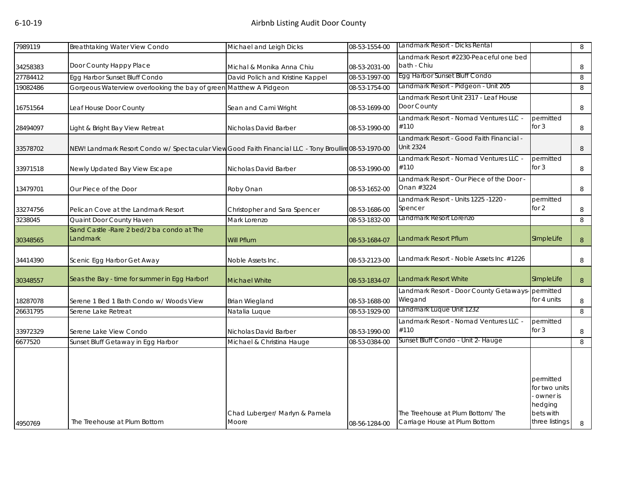| 7989119  | Breathtaking Water View Condo                                                                          | Michael and Leigh Dicks          | 08-53-1554-00 | Landmark Resort - Dicks Rental                    |                     | 8      |
|----------|--------------------------------------------------------------------------------------------------------|----------------------------------|---------------|---------------------------------------------------|---------------------|--------|
|          |                                                                                                        |                                  |               | Landmark Resort #2230-Peaceful one bed            |                     |        |
| 34258383 | Door County Happy Place                                                                                | Michal & Monika Anna Chiu        | 08-53-2031-00 | bath - Chiu                                       |                     | 8      |
| 27784412 | Egg Harbor Sunset Bluff Condo                                                                          | David Polich and Kristine Kappel | 08-53-1997-00 | Egg Harbor Sunset Bluff Condo                     |                     | 8      |
| 19082486 | Gorgeous Waterview overlooking the bay of green Matthew A Pidgeon                                      |                                  | 08-53-1754-00 | Landmark Resort - Pidgeon - Unit 205              |                     | 8      |
|          |                                                                                                        |                                  |               | Landmark Resort Unit 2317 - Leaf House            |                     |        |
| 16751564 | Leaf House Door County                                                                                 | Sean and Cami Wright             | 08-53-1699-00 | Door County                                       |                     | 8      |
|          |                                                                                                        |                                  |               | Landmark Resort - Nomad Ventures LLC -            | permitted           |        |
| 28494097 | Light & Bright Bay View Retreat                                                                        | Nicholas David Barber            | 08-53-1990-00 | #110                                              | for $3$             | 8      |
|          |                                                                                                        |                                  |               | Landmark Resort - Good Faith Financial -          |                     |        |
| 33578702 | NEW! Landmark Resort Condo w/ Spectacular View Good Faith Financial LLC - Tony Broullire 08-53-1970-00 |                                  |               | <b>Unit 2324</b>                                  |                     | 8      |
|          |                                                                                                        |                                  |               | Landmark Resort - Nomad Ventures LLC -            | permitted           |        |
| 33971518 | Newly Updated Bay View Escape                                                                          | Nicholas David Barber            | 08-53-1990-00 | #110                                              | for $3$             | 8      |
|          |                                                                                                        |                                  |               | Landmark Resort - Our Piece of the Door -         |                     |        |
| 13479701 | Our Piece of the Door                                                                                  | Roby Onan                        | 08-53-1652-00 | Onan #3224                                        |                     | 8      |
|          |                                                                                                        |                                  |               | Landmark Resort - Units 1225 -1220 -              | permitted           |        |
| 33274756 | Pelican Cove at the Landmark Resort                                                                    | Christopher and Sara Spencer     | 08-53-1686-00 | Spencer                                           | for 2               | 8      |
| 3238045  | Quaint Door County Haven                                                                               | Mark Lorenzo                     | 08-53-1832-00 | Landmark Resort Lorenzo                           |                     | 8      |
|          | Sand Castle - Rare 2 bed/2 ba condo at The                                                             |                                  |               |                                                   |                     |        |
| 30348565 | Landmark                                                                                               | Will Pflum                       | 08-53-1684-07 | Landmark Resort Pflum                             | SImpleLife          | $\, 8$ |
|          |                                                                                                        |                                  |               |                                                   |                     |        |
| 34414390 | Scenic Egg Harbor Get Away                                                                             | Noble Assets Inc.                | 08-53-2123-00 | Landmark Resort - Noble Assets Inc #1226          |                     | 8      |
|          |                                                                                                        |                                  |               |                                                   |                     |        |
| 30348557 | Seas the Bay - time for summer in Egg Harbor!                                                          | <b>Michael White</b>             | 08-53-1834-07 | <b>Landmark Resort White</b>                      | SImpleLife          | 8      |
|          |                                                                                                        |                                  |               | Landmark Resort - Door County Getaways- permitted |                     |        |
| 18287078 | Serene 1 Bed 1 Bath Condo w/ Woods View                                                                | <b>Brian Wiegland</b>            | 08-53-1688-00 | Wiegand                                           | for 4 units         | 8      |
| 26631795 | Serene Lake Retreat                                                                                    | Natalia Luque                    | 08-53-1929-00 | Landmark Luque Unit 1232                          |                     | 8      |
|          |                                                                                                        |                                  |               | Landmark Resort - Nomad Ventures LLC -            | permitted           |        |
| 33972329 | Serene Lake View Condo                                                                                 | Nicholas David Barber            | 08-53-1990-00 | #110                                              | for $3$             | 8      |
| 6677520  | Sunset Bluff Getaway in Egg Harbor                                                                     | Michael & Christina Hauge        | 08-53-0384-00 | Sunset Bluff Condo - Unit 2- Hauge                |                     | 8      |
|          |                                                                                                        |                                  |               |                                                   |                     |        |
|          |                                                                                                        |                                  |               |                                                   |                     |        |
|          |                                                                                                        |                                  |               |                                                   |                     |        |
|          |                                                                                                        |                                  |               |                                                   | permitted           |        |
|          |                                                                                                        |                                  |               |                                                   | for two units       |        |
|          |                                                                                                        |                                  |               |                                                   | owner is<br>hedging |        |
|          |                                                                                                        | Chad Luberger/ Marlyn & Pamela   |               | The Treehouse at Plum Bottom/ The                 | bets with           |        |
| 4950769  | The Treehouse at Plum Bottom                                                                           | Moore                            | 08-56-1284-00 | Carriage House at Plum Bottom                     | three listings      | 8      |
|          |                                                                                                        |                                  |               |                                                   |                     |        |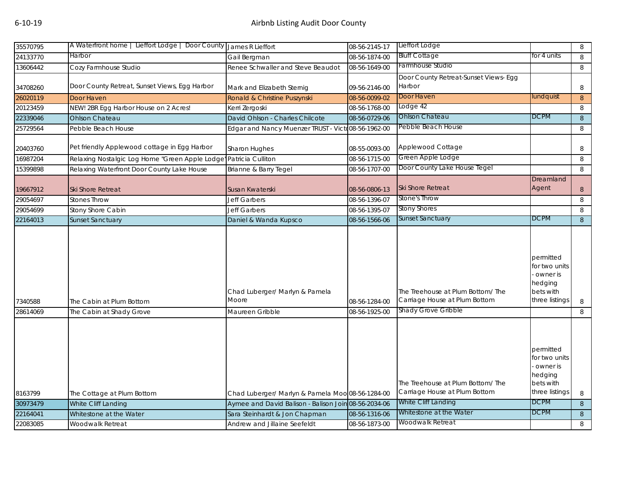| 35570795             | A Waterfront home   Lieffort Lodge   Door County                                               | James R Lieffort                                     | 08-56-2145-17                  | Lieffort Lodge                                                    |                                                                                  | 8              |
|----------------------|------------------------------------------------------------------------------------------------|------------------------------------------------------|--------------------------------|-------------------------------------------------------------------|----------------------------------------------------------------------------------|----------------|
| 24133770             | Harbor                                                                                         | Gail Bergman                                         | 08-56-1874-00                  | <b>Bluff Cottage</b>                                              | for 4 units                                                                      | 8              |
| 13606442             | Cozy Farmhouse Studio                                                                          | Renee Schwaller and Steve Beaudot                    | 08-56-1649-00                  | Farmhouse Studio                                                  |                                                                                  | $\, 8$         |
| 34708260             | Door County Retreat, Sunset Views, Egg Harbor                                                  | Mark and Elizabeth Sternig                           | 09-56-2146-00                  | Door County Retreat-Sunset Views- Egg<br>Harbor                   |                                                                                  | 8              |
| 26020119             | Door Haven                                                                                     | Ronald & Christine Puszynski                         | 08-56-0099-02                  | Door Haven                                                        | lundquist                                                                        | 8              |
| 20123459             | NEW! 2BR Egg Harbor House on 2 Acres!                                                          | Kerri Zergoski                                       | 08-56-1768-00                  | Lodge 42                                                          |                                                                                  | 8              |
| 22339046             | <b>Ohlson Chateau</b>                                                                          | David Ohlson - Charles Chilcote                      | 08-56-0729-06                  | Ohlson Chateau                                                    | DCPM                                                                             | 8              |
| 25729564             | Pebble Beach House                                                                             | Edgar and Nancy Muenzer TRUST - Victo08-56-1962-00   |                                | Pebble Beach House                                                |                                                                                  | 8              |
| 20403760<br>16987204 | Pet friendly Applewood cottage in Egg Harbor<br>Relaxing Nostalgic Log Home "Green Apple Lodge | Sharon Hughes<br>Patricia Culliton                   | 08-55-0093-00<br>08-56-1715-00 | Applewood Cottage<br>Green Apple Lodge                            |                                                                                  | 8<br>8         |
| 15399898             | Relaxing Waterfront Door County Lake House                                                     | Brianne & Barry Tegel                                | 08-56-1707-00                  | Door County Lake House Tegel                                      |                                                                                  | 8              |
| 19667912<br>29054697 | Ski Shore Retreat<br><b>Stones Throw</b>                                                       | Susan Kwaterski<br><b>Jeff Garbers</b>               | 08-56-0806-13<br>08-56-1396-07 | <b>Ski Shore Retreat</b><br>Stone's Throw                         | Dreamland<br>Agent                                                               | 8<br>8         |
| 29054699             | Stony Shore Cabin                                                                              | <b>Jeff Garbers</b>                                  | 08-56-1395-07                  | <b>Stony Shores</b>                                               |                                                                                  | 8              |
| 22164013             | <b>Sunset Sanctuary</b>                                                                        | Daniel & Wanda Kupsco                                | 08-56-1566-06                  | Sunset Sanctuary                                                  | <b>DCPM</b>                                                                      | 8              |
| 7340588              | The Cabin at Plum Bottom                                                                       | Chad Luberger/ Marlyn & Pamela<br>Moore              | 08-56-1284-00                  | The Treehouse at Plum Bottom/The<br>Carriage House at Plum Bottom | permitted<br>for two units<br>owner is<br>hedging<br>bets with<br>three listings | 8              |
| 28614069             | The Cabin at Shady Grove                                                                       | Maureen Gribble                                      | 08-56-1925-00                  | Shady Grove Gribble                                               |                                                                                  | 8              |
|                      |                                                                                                |                                                      |                                | The Treehouse at Plum Bottom/The                                  | permitted<br>for two units<br>owner is<br>hedging<br>bets with                   |                |
| 8163799              | The Cottage at Plum Bottom                                                                     | Chad Luberger/ Marlyn & Pamela Moo 08-56-1284-00     |                                | Carriage House at Plum Bottom                                     | three listings                                                                   | 8              |
| 30973479             | White Cliff Landing                                                                            | Aymee and David Balison - Balison Join 08-56-2034-06 |                                | White Cliff Landing                                               | <b>DCPM</b>                                                                      | $8\phantom{1}$ |
| 22164041             | Whitestone at the Water                                                                        | Sara Steinhardt & Jon Chapman                        | 08-56-1316-06                  | Whitestone at the Water                                           | <b>DCPM</b>                                                                      | $\,8\,$        |
| 22083085             | Woodwalk Retreat                                                                               | Andrew and Jillaine Seefeldt                         | 08-56-1873-00                  | Woodwalk Retreat                                                  |                                                                                  | 8              |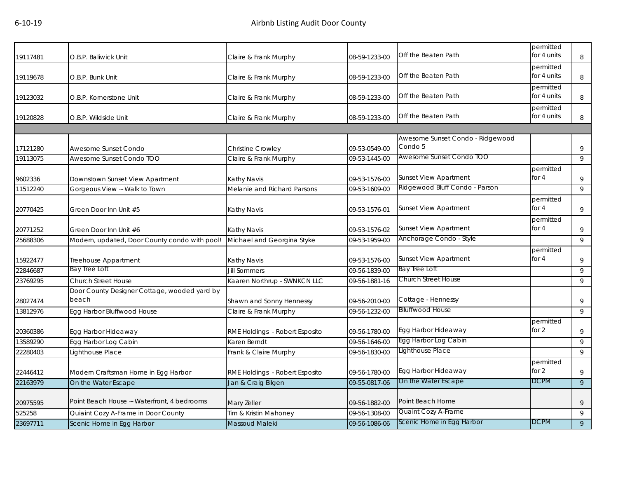| 19117481 | O.B.P. Baliwick Unit                                  | Claire & Frank Murphy          | 08-59-1233-00 | Off the Beaten Path                         | permitted<br>for 4 units | 8              |
|----------|-------------------------------------------------------|--------------------------------|---------------|---------------------------------------------|--------------------------|----------------|
| 19119678 | O.B.P. Bunk Unit                                      | Claire & Frank Murphy          | 08-59-1233-00 | Off the Beaten Path                         | permitted<br>for 4 units | 8              |
| 19123032 | O.B.P. Kornerstone Unit                               | Claire & Frank Murphy          | 08-59-1233-00 | Off the Beaten Path                         | permitted<br>for 4 units | 8              |
| 19120828 | O.B.P. Wildside Unit                                  | Claire & Frank Murphy          | 08-59-1233-00 | Off the Beaten Path                         | permitted<br>for 4 units | 8              |
|          |                                                       |                                |               |                                             |                          |                |
| 17121280 | Awesome Sunset Condo                                  | Christine Crowley              | 09-53-0549-00 | Awesome Sunset Condo - Ridgewood<br>Condo 5 |                          | 9              |
| 19113075 | Awesome Sunset Condo TOO                              | Claire & Frank Murphy          | 09-53-1445-00 | Awesome Sunset Condo TOO                    |                          | 9              |
| 9602336  | Downstown Sunset View Apartment                       | Kathy Navis                    | 09-53-1576-00 | <b>Sunset View Apartment</b>                | permitted<br>for $4$     | 9              |
| 11512240 | Gorgeous View ~ Walk to Town                          | Melanie and Richard Parsons    | 09-53-1609-00 | Ridgewood Bluff Condo - Parson              |                          | 9              |
| 20770425 | Green Door Inn Unit #5                                | Kathy Navis                    | 09-53-1576-01 | <b>Sunset View Apartment</b>                | permitted<br>for $4$     | 9              |
| 20771252 | Green Door Inn Unit #6                                | Kathy Navis                    | 09-53-1576-02 | <b>Sunset View Apartment</b>                | permitted<br>for $4$     | 9              |
| 25688306 | Modern, updated, Door County condo with pool!         | Michael and Georgina Styke     | 09-53-1959-00 | Anchorage Condo - Style                     |                          | 9              |
| 15922477 | Treehouse Appartment                                  | Kathy Navis                    | 09-53-1576-00 | <b>Sunset View Apartment</b>                | permitted<br>for 4       | 9              |
| 22846687 | Bay Tree Loft                                         | <b>Jill Sommers</b>            | 09-56-1839-00 | Bay Tree Loft                               |                          | 9              |
| 23769295 | <b>Church Street House</b>                            | Kaaren Northrup - SWNKCN LLC   | 09-56-1881-16 | <b>Church Street House</b>                  |                          | 9              |
| 28027474 | Door County Designer Cottage, wooded yard by<br>beach | Shawn and Sonny Hennessy       | 09-56-2010-00 | Cottage - Hennessy                          |                          | 9              |
| 13812976 | Egg Harbor Bluffwood House                            | Claire & Frank Murphy          | 09-56-1232-00 | <b>Blluffwood House</b>                     |                          | 9              |
| 20360386 | Egg Harbor Hideaway                                   | RME Holdings - Robert Esposito | 09-56-1780-00 | Egg Harbor Hideaway                         | permitted<br>for 2       | 9              |
| 13589290 | Egg Harbor Log Cabin                                  | Karen Berndt                   | 09-56-1646-00 | Egg Harbor Log Cabin                        |                          | 9              |
| 22280403 | Lighthouse Place                                      | Frank & Claire Murphy          | 09-56-1830-00 | Lighthouse Place                            |                          | 9              |
| 22446412 | Modern Craftsman Home in Egg Harbor                   | RME Holdings - Robert Esposito | 09-56-1780-00 | Egg Harbor Hideaway                         | permitted<br>for $2$     | 9              |
| 22163979 | On the Water Escape                                   | Jan & Craig Bilgen             | 09-55-0817-06 | On the Water Escape                         | <b>DCPM</b>              | $\overline{9}$ |
| 20975595 | Point Beach House ~ Waterfront, 4 bedrooms            | Mary Zeller                    | 09-56-1882-00 | Point Beach Home                            |                          | 9              |
| 525258   | Quiaint Cozy A-Frame in Door County                   | Tim & Kristin Mahoney          | 09-56-1308-00 | Quaint Cozy A-Frame                         |                          | 9              |
| 23697711 | Scenic Home in Egg Harbor                             | Massoud Maleki                 | 09-56-1086-06 | Scenic Home in Egg Harbor                   | <b>DCPM</b>              | 9              |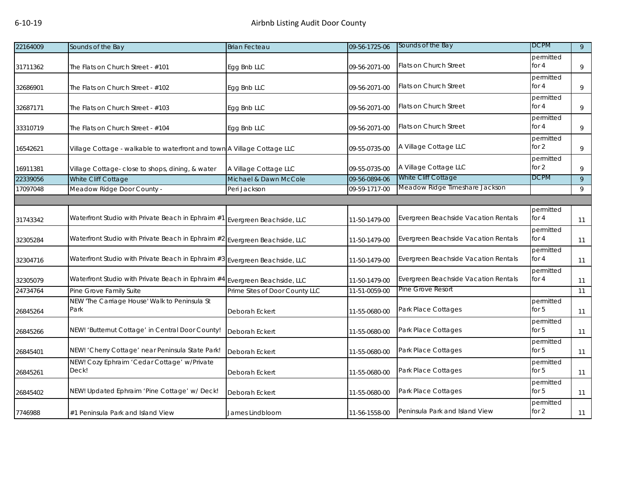| 22164009 | Sounds of the Bay                                                           | <b>Brian Fecteau</b>           | 09-56-1725-06 | Sounds of the Bay                    | <b>DCPM</b>          | 9  |
|----------|-----------------------------------------------------------------------------|--------------------------------|---------------|--------------------------------------|----------------------|----|
| 31711362 | The Flats on Church Street - #101                                           | Egg Bnb LLC                    | 09-56-2071-00 | Flats on Church Street               | permitted<br>for $4$ | 9  |
| 32686901 | The Flats on Church Street - #102                                           | Egg Bnb LLC                    | 09-56-2071-00 | <b>Flats on Church Street</b>        | permitted<br>for $4$ | 9  |
| 32687171 | The Flats on Church Street - #103                                           | Egg Bnb LLC                    | 09-56-2071-00 | <b>Flats on Church Street</b>        | permitted<br>for $4$ | 9  |
| 33310719 | The Flats on Church Street - #104                                           | Egg Bnb LLC                    | 09-56-2071-00 | Flats on Church Street               | permitted<br>for 4   | 9  |
| 16542621 | Village Cottage - walkable to waterfront and town A Village Cottage LLC     |                                | 09-55-0735-00 | A Village Cottage LLC                | permitted<br>for 2   | 9  |
| 16911381 | Village Cottage- close to shops, dining, & water                            | A Village Cottage LLC          | 09-55-0735-00 | A Village Cottage LLC                | permitted<br>for $2$ | 9  |
| 22339056 | White Cliff Cottage                                                         | Michael & Dawn McCole          | 09-56-0894-06 | White Cliff Cottage                  | <b>DCPM</b>          | 9  |
| 17097048 | Meadow Ridge Door County -                                                  | Peri Jackson                   | 09-59-1717-00 | Meadow Ridge Timeshare Jackson       |                      | 9  |
|          |                                                                             |                                |               |                                      |                      |    |
| 31743342 | Waterfront Studio with Private Beach in Ephraim #1 Evergreen Beachside, LLC |                                | 11-50-1479-00 | Evergreen Beachside Vacation Rentals | permitted<br>for 4   | 11 |
| 32305284 | Waterfront Studio with Private Beach in Ephraim #2 Evergreen Beachside, LLC |                                | 11-50-1479-00 | Evergreen Beachside Vacation Rentals | permitted<br>for $4$ | 11 |
| 32304716 | Waterfront Studio with Private Beach in Ephraim #3 Evergreen Beachside, LLC |                                | 11-50-1479-00 | Evergreen Beachside Vacation Rentals | permitted<br>for $4$ | 11 |
| 32305079 | Waterfront Studio with Private Beach in Ephraim #4 Evergreen Beachside, LLC |                                | 11-50-1479-00 | Evergreen Beachside Vacation Rentals | permitted<br>for $4$ | 11 |
| 24734764 | Pine Grove Family Suite                                                     | Prime Sites of Door County LLC | 11-51-0059-00 | Pine Grove Resort                    |                      | 11 |
| 26845264 | NEW 'The Carriage House' Walk to Peninsula St<br>Park                       | Deborah Eckert                 | 11-55-0680-00 | Park Place Cottages                  | permitted<br>for $5$ | 11 |
| 26845266 | NEW! 'Butternut Cottage' in Central Door County!                            | Deborah Eckert                 | 11-55-0680-00 | Park Place Cottages                  | permitted<br>for $5$ | 11 |
| 26845401 | NEW! 'Cherry Cottage' near Peninsula State Park!                            | Deborah Eckert                 | 11-55-0680-00 | Park Place Cottages                  | permitted<br>for $5$ | 11 |
| 26845261 | NEW! Cozy Ephraim 'Cedar Cottage' w/Private<br>Deck!                        | Deborah Eckert                 | 11-55-0680-00 | Park Place Cottages                  | permitted<br>for $5$ | 11 |
| 26845402 | NEW! Updated Ephraim 'Pine Cottage' w/ Deck!                                | Deborah Eckert                 | 11-55-0680-00 | Park Place Cottages                  | permitted<br>for $5$ | 11 |
| 7746988  | #1 Peninsula Park and Island View                                           | James Lindbloom                | 11-56-1558-00 | Peninsula Park and Island View       | permitted<br>for $2$ | 11 |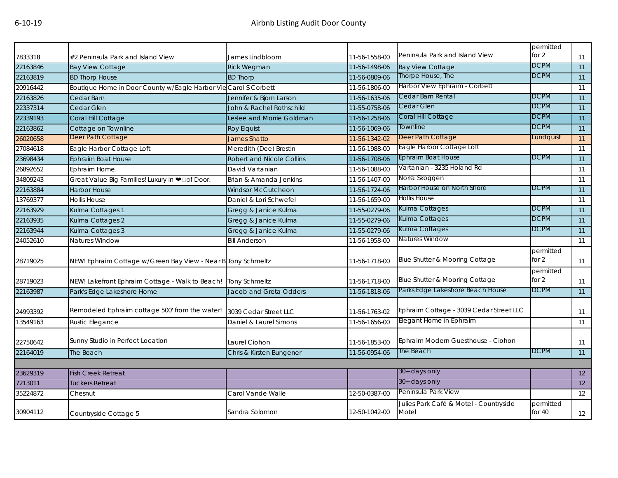|          |                                                                 |                                  |               |                                                 | permitted             |    |
|----------|-----------------------------------------------------------------|----------------------------------|---------------|-------------------------------------------------|-----------------------|----|
| 7833318  | #2 Peninsula Park and Island View                               | James Lindbloom                  | 11-56-1558-00 | Peninsula Park and Island View                  | for 2                 | 11 |
| 22163846 | <b>Bay View Cottage</b>                                         | <b>Rick Wegman</b>               | 11-56-1498-06 | <b>Bay View Cottage</b>                         | <b>DCPM</b>           | 11 |
| 22163819 | <b>BD Thorp House</b>                                           | <b>BD Thorp</b>                  | 11-56-0809-06 | Thorpe House, The                               | <b>DCPM</b>           | 11 |
| 20916442 | Boutique Home in Door County w/Eagle Harbor Vie Carol S Corbett |                                  | 11-56-1806-00 | Harbor View Ephraim - Corbett                   |                       | 11 |
| 22163826 | Cedar Barn                                                      | Jennifer & Bjorn Larson          | 11-56-1635-06 | Cedar Barn Rental                               | <b>DCPM</b>           | 11 |
| 22337314 | Cedar Glen                                                      | John & Rachel Rothschild         | 11-55-0758-06 | Cedar Glen                                      | <b>DCPM</b>           | 11 |
| 22339193 | Coral Hill Cottage                                              | Leslee and Morrie Goldman        | 11-56-1258-06 | Coral Hill Cottage                              | <b>DCPM</b>           | 11 |
| 22163862 | Cottage on Townline                                             | Roy Elquist                      | 11-56-1069-06 | Townline                                        | <b>DCPM</b>           | 11 |
| 26020658 | Deer Path Cottage                                               | <b>James Shatto</b>              | 11-56-1342-02 | Deer Path Cottage                               | Lundquist             | 11 |
| 27084618 | Eagle Harbor Cottage Loft                                       | Meredith (Dee) Brestin           | 11-56-1988-00 | Eagle Harbor Cottage Loft                       |                       | 11 |
| 23698434 | Ephraim Boat House                                              | <b>Robert and Nicole Collins</b> | 11-56-1708-06 | <b>Ephraim Boat House</b>                       | <b>DCPM</b>           | 11 |
| 26892652 | Ephraim Home.                                                   | David Vartanian                  | 11-56-1088-00 | Vartanian - 3235 Holand Rd                      |                       | 11 |
| 34809243 | Great Value Big Families! Luxury in @Dof Door!                  | Brian & Amanda Jenkins           | 11-56-1407-00 | Norra Skoggen                                   |                       | 11 |
| 22163884 | <b>Harbor House</b>                                             | <b>Windsor McCutcheon</b>        | 11-56-1724-06 | Harbor House on North Shore                     | <b>DCPM</b>           | 11 |
| 13769377 | <b>Hollis House</b>                                             | Daniel & Lori Schwefel           | 11-56-1659-00 | Hollis House                                    |                       | 11 |
| 22163929 | Kulma Cottages 1                                                | Gregg & Janice Kulma             | 11-55-0279-06 | Kulma Cottages                                  | <b>DCPM</b>           | 11 |
| 22163935 | Kulma Cottages 2                                                | Gregg & Janice Kulma             | 11-55-0279-06 | Kulma Cottages                                  | <b>DCPM</b>           | 11 |
| 22163944 | Kulma Cottages 3                                                | Gregg & Janice Kulma             | 11-55-0279-06 | Kulma Cottages                                  | <b>DCPM</b>           | 11 |
| 24052610 | Natures Window                                                  | <b>Bill Anderson</b>             | 11-56-1958-00 | Natures Window                                  |                       | 11 |
| 28719025 | NEW! Ephraim Cottage w/Green Bay View - Near B Tony Schmeltz    |                                  | 11-56-1718-00 | Blue Shutter & Mooring Cottage                  | permitted<br>for $2$  | 11 |
| 28719023 | NEW! Lakefront Ephraim Cottage - Walk to Beach!                 | <b>Tony Schmeltz</b>             | 11-56-1718-00 | Blue Shutter & Mooring Cottage                  | permitted<br>for 2    | 11 |
| 22163987 | Park's Edge Lakeshore Home                                      | Jacob and Greta Odders           | 11-56-1818-06 | Parks Edge Lakeshore Beach House                | <b>DCPM</b>           | 11 |
| 24993392 | Remodeled Ephraim cottage 500' from the water!                  | 3039 Cedar Street LLC            | 11-56-1763-02 | Ephraim Cottage - 3039 Cedar Street LLC         |                       | 11 |
| 13549163 | Rustic Elegance                                                 | Daniel & Laurel Simons           | 11-56-1656-00 | Elegant Home in Ephraim                         |                       | 11 |
| 22750642 | Sunny Studio in Perfect Location                                | Laurel Ciohon                    | 11-56-1853-00 | Ephraim Modern Guesthouse - Ciohon              |                       | 11 |
| 22164019 | The Beach                                                       | Chris & Kirsten Bungener         | 11-56-0954-06 | The Beach                                       | <b>DCPM</b>           | 11 |
|          |                                                                 |                                  |               |                                                 |                       |    |
| 23629319 | <b>Fish Creek Retreat</b>                                       |                                  |               | 30+ days only                                   |                       | 12 |
| 7213011  | <b>Tuckers Retreat</b>                                          |                                  |               | 30+ days only                                   |                       | 12 |
| 35224872 | Chesnut                                                         | Carol Vande Walle                | 12-50-0387-00 | Peninsula Park View                             |                       | 12 |
| 30904112 | Countryside Cottage 5                                           | Sandra Solomon                   | 12-50-1042-00 | Julies Park Café & Motel - Countryside<br>Motel | permitted<br>for $40$ | 12 |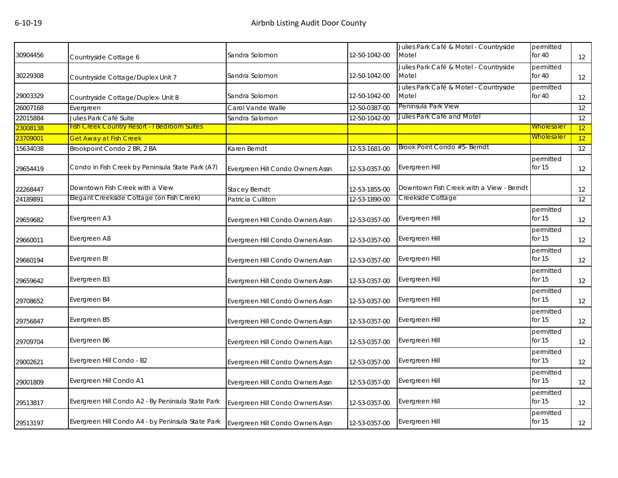| 30904456 | Countryside Cottage 6                               | Sandra Solomon                   | 12-50-1042-00 | Julies Park Café & Motel - Countryside<br>Motel | permitted<br>for $40$ | 12 |
|----------|-----------------------------------------------------|----------------------------------|---------------|-------------------------------------------------|-----------------------|----|
| 30229308 | Countryside Cottage/Duplex Unit 7                   | Sandra Solomon                   | 12-50-1042-00 | Julies Park Café & Motel - Countryside<br>Motel | permitted<br>for $40$ | 12 |
| 29003329 | Countryside Cottage/Duplex- Unit 8                  | Sandra Solomon                   | 12-50-1042-00 | Julies Park Café & Motel - Countryside<br>Motel | permitted<br>for $40$ | 12 |
| 26007168 | Evergreen                                           | Carol Vande Walle                | 12-50-0387-00 | Peninsula Park View                             |                       | 12 |
| 22015884 | Julies Park Café Suite                              | Sandra Salomon                   | 12-50-1042-00 | Julies Park Café and Motel                      |                       | 12 |
| 23008138 | <b>Fish Creek Country Resort - I Bedroom Suites</b> |                                  |               |                                                 | Wholesaler            | 12 |
| 23709001 | <b>Get Away at Fish Creek</b>                       |                                  |               |                                                 | Wholesaler            | 12 |
| 15634038 | Brookpoint Condo 2 BR, 2 BA                         | Karen Berndt                     | 12-53-1681-00 | Brook Point Condo #5- Berndt                    |                       | 12 |
| 29654419 | Condo in Fish Creek by Peninsula State Park (A7)    | Evergreen Hill Condo Owners Assn | 12-53-0357-00 | Evergreen Hill                                  | permitted<br>for 15   | 12 |
| 22268447 | Downtown Fish Creek with a View                     | <b>Stacey Berndt</b>             | 12-53-1855-00 | Downtown Fish Creek with a View - Berndt        |                       | 12 |
| 24189891 | Elegant Creekside Cottage (on Fish Creek)           | Patricia Culliton                | 12-53-1890-00 | Creekside Cottage                               |                       | 12 |
| 29659682 | Evergreen A3                                        | Evergreen Hill Condo Owners Assn | 12-53-0357-00 | Evergreen Hill                                  | permitted<br>for 15   | 12 |
| 29660011 | Evergreen A8                                        | Evergreen Hill Condo Owners Assn | 12-53-0357-00 | Evergreen Hill                                  | permitted<br>for $15$ | 12 |
| 29660194 | Evergreen B!                                        | Evergreen Hill Condo Owners Assn | 12-53-0357-00 | Evergreen Hill                                  | permitted<br>for $15$ | 12 |
| 29659642 | Evergreen B3                                        | Evergreen Hill Condo Owners Assn | 12-53-0357-00 | Evergreen Hill                                  | permitted<br>for 15   | 12 |
| 29708652 | Evergreen B4                                        | Evergreen Hill Condo Owners Assn | 12-53-0357-00 | Evergreen Hill                                  | permitted<br>for $15$ | 12 |
| 29756847 | Evergreen B5                                        | Evergreen Hill Condo Owners Assn | 12-53-0357-00 | Evergreen Hill                                  | permitted<br>for $15$ | 12 |
| 29709704 | Evergreen B6                                        | Evergreen Hill Condo Owners Assn | 12-53-0357-00 | Evergreen Hill                                  | permitted<br>for 15   | 12 |
| 29002621 | Evergreen Hill Condo - B2                           | Evergreen Hill Condo Owners Assn | 12-53-0357-00 | Evergreen Hill                                  | permitted<br>for 15   | 12 |
| 29001809 | Evergreen Hill Condo A1                             | Evergreen Hill Condo Owners Assn | 12-53-0357-00 | Evergreen Hill                                  | permitted<br>for $15$ | 12 |
| 29513817 | Evergreen Hill Condo A2 - By Peninsula State Park   | Evergreen Hill Condo Owners Assn | 12-53-0357-00 | Evergreen Hill                                  | permitted<br>for 15   | 12 |
| 29513197 | Evergreen Hill Condo A4 - by Peninsula State Park   | Evergreen Hill Condo Owners Assn | 12-53-0357-00 | Evergreen Hill                                  | permitted<br>for 15   | 12 |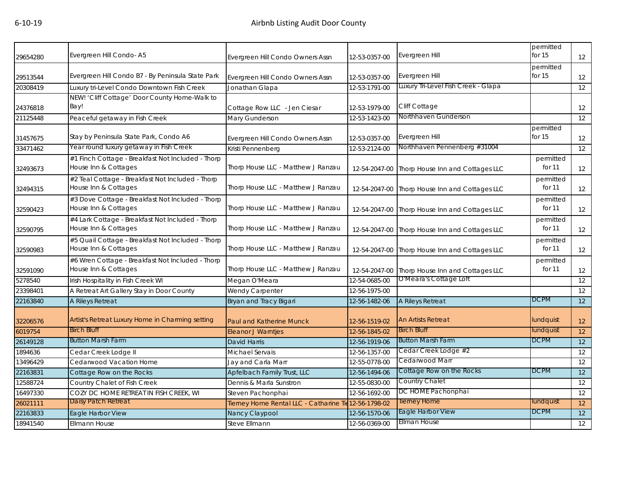| 29654280 | Evergreen Hill Condo-A5                                                   | Evergreen Hill Condo Owners Assn                      | 12-53-0357-00 | Evergreen Hill                                 | permitted<br>for 15   | 12                |
|----------|---------------------------------------------------------------------------|-------------------------------------------------------|---------------|------------------------------------------------|-----------------------|-------------------|
| 29513544 | Evergreen Hill Condo B7 - By Peninsula State Park                         | Evergreen Hill Condo Owners Assn                      | 12-53-0357-00 | Evergreen Hill                                 | permitted<br>for $15$ | 12                |
| 20308419 | Luxury tri-Level Condo Downtown Fish Creek                                | Jonathan Glapa                                        | 12-53-1791-00 | Luxury Tri-Level Fish Creek - Glapa            |                       | 12                |
|          | NEW! 'Cliff Cottage' Door County Home-Walk to                             |                                                       |               |                                                |                       |                   |
| 24376818 | Bay!                                                                      | Cottage Row LLC - Jen Ciesar                          | 12-53-1979-00 | Cliff Cottage                                  |                       | 12                |
| 21125448 | Peaceful getaway in Fish Creek                                            | Mary Gunderson                                        | 12-53-1423-00 | Northhaven Gunderson                           |                       | 12                |
| 31457675 | Stay by Peninsula State Park, Condo A6                                    | Evergreen Hill Condo Owners Assn                      | 12-53-0357-00 | Evergreen Hill                                 | permitted<br>for $15$ | 12                |
| 33471462 | Year round luxury getaway in Fish Creek                                   | Kristi Pennenberg                                     | 12-53-2124-00 | Northhaven Pennenberg #31004                   |                       | 12                |
| 32493673 | #1 Finch Cottage - Breakfast Not Included - Thorp<br>House Inn & Cottages | Thorp House LLC - Matthew J Ranzau                    | 12-54-2047-00 | Thorp House Inn and Cottages LLC               | permitted<br>for 11   | $12 \overline{ }$ |
| 32494315 | #2 Teal Cottage - Breakfast Not Included - Thorp<br>House Inn & Cottages  | Thorp House LLC - Matthew J Ranzau                    | 12-54-2047-00 | Thorp House Inn and Cottages LLC               | permitted<br>for 11   | $12 \overline{ }$ |
| 32590423 | #3 Dove Cottage - Breakfast Not Included - Thorp<br>House Inn & Cottages  | Thorp House LLC - Matthew J Ranzau                    | 12-54-2047-00 | Thorp House Inn and Cottages LLC               | permitted<br>for 11   | 12                |
| 32590795 | #4 Lark Cottage - Breakfast Not Included - Thorp<br>House Inn & Cottages  | Thorp House LLC - Matthew J Ranzau                    | 12-54-2047-00 | Thorp House Inn and Cottages LLC               | permitted<br>for 11   | 12                |
| 32590983 | #5 Quail Cottage - Breakfast Not Included - Thorp<br>House Inn & Cottages | Thorp House LLC - Matthew J Ranzau                    |               | 12-54-2047-00 Thorp House Inn and Cottages LLC | permitted<br>for 11   | 12                |
| 32591090 | #6 Wren Cottage - Breakfast Not Included - Thorp<br>House Inn & Cottages  | Thorp House LLC - Matthew J Ranzau                    | 12-54-2047-00 | Thorp House Inn and Cottages LLC               | permitted<br>for 11   | 12                |
| 5278540  | Irish Hospitality in Fish Creek WI                                        | Megan O'Meara                                         | 12-54-0685-00 | O'Meara's Cottage Loft                         |                       | 12                |
| 23398401 | A Retreat Art Gallery Stay in Door County                                 | Wendy Carpenter                                       | 12-56-1975-00 |                                                |                       | 12                |
| 22163840 | A Rileys Retreat                                                          | Bryan and Tracy Bigari                                | 12-56-1482-06 | A Rileys Retreat                               | <b>DCPM</b>           | $\overline{12}$   |
| 32206576 | Artist's Retreat Luxury Home in Charming setting                          | Paul and Katherine Munck                              | 12-56-1519-02 | <b>An Artists Retreat</b>                      | lundquist             | 12                |
| 6019754  | <b>Birch Bluff</b>                                                        | <b>Eleanor J Warntjes</b>                             | 12-56-1845-02 | <b>Birch Bluff</b>                             | lundquist             | 12                |
| 26149128 | <b>Button Marsh Farm</b>                                                  | <b>David Harris</b>                                   | 12-56-1919-06 | <b>Button Marsh Farm</b>                       | <b>DCPM</b>           | 12                |
| 1894636  | Cedar Creek Lodge II                                                      | Michael Servais                                       | 12-56-1357-00 | Cedar Creek Lodge #2                           |                       | 12                |
| 13496429 | Cedarwood Vacation Home                                                   | Jay and Carla Marr                                    | 12-55-0778-00 | Cedarwood Marr                                 |                       | 12                |
| 22163831 | Cottage Row on the Rocks                                                  | Apfelbach Family Trust, LLC                           | 12-56-1494-06 | Cottage Row on the Rocks                       | <b>DCPM</b>           | 12                |
| 12588724 | Country Chalet of Fish Creek                                              | Dennis & Marla Sunstron                               | 12-55-0830-00 | <b>Country Chalet</b>                          |                       | $12 \overline{ }$ |
| 16497330 | COZY DC HOME RETREAT IN FISH CREEK, WI                                    | Steven Pachonphai                                     | 12-56-1692-00 | DC HOME Pachonphai                             |                       | 12                |
| 26021111 | Daisy Patch Retreat                                                       | Tierney Home Rental LLC - Catharine Tie 12-56-1798-02 |               | <b>Tierney Home</b>                            | lundquist             | 12                |
| 22163833 | Eagle Harbor View                                                         | Nancy Claypool                                        | 12-56-1570-06 | Eagle Harbor View                              | <b>DCPM</b>           | 12                |
| 18941540 | <b>Ellmann House</b>                                                      | Steve Ellmann                                         | 12-56-0369-00 | Ellman House                                   |                       | 12                |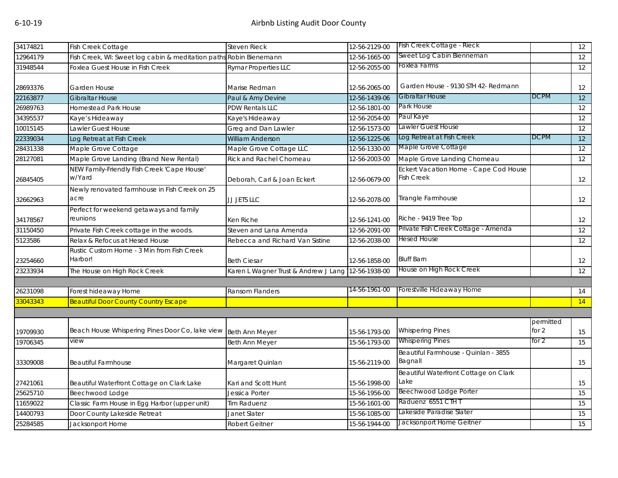| 12964179<br>Fish Creek, WI: Sweet log cabin & meditation paths Robin Bienemann<br>12-56-1665-00<br>Foxlea Farms<br>Foxlea Guest House in Fish Creek<br>12-56-2055-00<br><b>Rymar Properties LLC</b><br>Garden House - 9130 STH 42- Redmann<br>Garden House<br>Marise Redman<br>12-56-2065-00<br><b>DCPM</b><br>Gibraltar House<br><b>Gibraltar House</b><br>Paul & Amy Devine<br>12-56-1439-06<br>Park House<br><b>PDW Rentals LLC</b><br>12-56-1801-00<br><b>Homestead Park House</b><br>Paul Kaye<br>12-56-2054-00<br>Kaye's Hideaway<br>Kaye's Hideaway<br>Lawler Guest House<br>Lawler Guest House<br>12-56-1573-00<br>10015145<br>Greg and Dan Lawler<br>Log Retreat at Fish Creek<br>DCPM<br>Log Retreat at Fish Creek<br><b>William Anderson</b><br>12-56-1225-06<br>Maple Grove Cottage<br>12-56-1330-00<br>Maple Grove Cottage<br>Maple Grove Cottage LLC<br>Maple Grove Landing (Brand New Rental)<br><b>Rick and Rachel Chomeau</b><br>12-56-2003-00<br>Maple Grove Landing Chomeau<br>NEW Family-Friendly Fish Creek 'Cape House'<br>Eckert Vacation Home - Cape Cod House<br>w/Yard<br>Fish Creek<br>Deborah, Carl & Joan Eckert<br>12-56-0679-00<br>Newly renovated farmhouse in Fish Creek on 25<br>Tirangle Farmhouse<br>acre<br>JJ JETS LLC<br>12-56-2078-00<br>Perfect for weekend getaways and family<br>Riche - 9419 Tree Top<br>reunions<br>Ken Riche<br>12-56-1241-00<br>Private Fish Creek Cottage - Amenda<br>Private Fish Creek cottage in the woods.<br>Steven and Lana Amenda<br>12-56-2091-00<br>Hesed House<br>Relax & Refocus at Hesed House<br>12-56-2038-00<br>Rebecca and Richard Van Sistine<br>Rustic Custom Home - 3 Min from Fish Creek<br>Harbor!<br><b>Bluff Barn</b><br><b>Beth Ciesar</b><br>12-56-1858-00<br>House on High Rock Creek<br>12-56-1938-00<br>The House on High Rock Creek<br>Karen L Wagner Trust & Andrew J Lang<br>14-56-1961-00<br>Forestville Hideaway Home<br>Forest hideaway Home<br><b>Ransom Flanders</b><br>14<br><b>Beautiful Door County Country Escape</b><br>33043343<br>permitted<br>Beach House Whispering Pines Door Co, lake view Beth Ann Meyer<br><b>Whispering Pines</b><br>for $2$<br>19709930<br>15-56-1793-00<br><b>Whispering Pines</b><br>for 2<br>view<br>Beth Ann Meyer<br>15-56-1793-00<br>Beautiful Farmhouse - Quinlan - 3855<br>Bagnall<br>Margaret Quinlan<br>15-56-2119-00<br><b>Beautiful Farmhouse</b><br>Beautiful Waterfront Cottage on Clark<br>Lake<br>15-56-1998-00<br>Beautiful Waterfront Cottage on Clark Lake<br>Kari and Scott Hunt<br>Beechwood Lodge Porter<br>Beechwood Lodge<br>15-56-1956-00<br>Jessica Porter<br>Raduenz 6551 CTH T<br>Classic Farm House in Egg Harbor (upper unit)<br>15-56-1601-00<br><b>Tim Raduenz</b><br>15<br>Lakeside Paradise Slater<br>Door County Lakeside Retreat<br>Janet Slater<br>15-56-1085-00<br>15<br>Jacksonport Home Geitner<br>15-56-1944-00<br>Jacksonport Home<br><b>Robert Geitner</b> | 34174821 | <b>Fish Creek Cottage</b> | <b>Steven Rieck</b> | 12-56-2129-00 | Fish Creek Cottage - Rieck | 12 |
|------------------------------------------------------------------------------------------------------------------------------------------------------------------------------------------------------------------------------------------------------------------------------------------------------------------------------------------------------------------------------------------------------------------------------------------------------------------------------------------------------------------------------------------------------------------------------------------------------------------------------------------------------------------------------------------------------------------------------------------------------------------------------------------------------------------------------------------------------------------------------------------------------------------------------------------------------------------------------------------------------------------------------------------------------------------------------------------------------------------------------------------------------------------------------------------------------------------------------------------------------------------------------------------------------------------------------------------------------------------------------------------------------------------------------------------------------------------------------------------------------------------------------------------------------------------------------------------------------------------------------------------------------------------------------------------------------------------------------------------------------------------------------------------------------------------------------------------------------------------------------------------------------------------------------------------------------------------------------------------------------------------------------------------------------------------------------------------------------------------------------------------------------------------------------------------------------------------------------------------------------------------------------------------------------------------------------------------------------------------------------------------------------------------------------------------------------------------------------------------------------------------------------------------------------------------------------------------------------------------------------------------------------------------------------------------------------------------------------------------------------------------------------------------------------------------------------------------------------------------------------------------------------------------------------------------|----------|---------------------------|---------------------|---------------|----------------------------|----|
|                                                                                                                                                                                                                                                                                                                                                                                                                                                                                                                                                                                                                                                                                                                                                                                                                                                                                                                                                                                                                                                                                                                                                                                                                                                                                                                                                                                                                                                                                                                                                                                                                                                                                                                                                                                                                                                                                                                                                                                                                                                                                                                                                                                                                                                                                                                                                                                                                                                                                                                                                                                                                                                                                                                                                                                                                                                                                                                                          |          |                           |                     |               | Sweet Log Cabin Bienneman  | 12 |
|                                                                                                                                                                                                                                                                                                                                                                                                                                                                                                                                                                                                                                                                                                                                                                                                                                                                                                                                                                                                                                                                                                                                                                                                                                                                                                                                                                                                                                                                                                                                                                                                                                                                                                                                                                                                                                                                                                                                                                                                                                                                                                                                                                                                                                                                                                                                                                                                                                                                                                                                                                                                                                                                                                                                                                                                                                                                                                                                          | 31948544 |                           |                     |               |                            | 12 |
|                                                                                                                                                                                                                                                                                                                                                                                                                                                                                                                                                                                                                                                                                                                                                                                                                                                                                                                                                                                                                                                                                                                                                                                                                                                                                                                                                                                                                                                                                                                                                                                                                                                                                                                                                                                                                                                                                                                                                                                                                                                                                                                                                                                                                                                                                                                                                                                                                                                                                                                                                                                                                                                                                                                                                                                                                                                                                                                                          | 28693376 |                           |                     |               |                            | 12 |
|                                                                                                                                                                                                                                                                                                                                                                                                                                                                                                                                                                                                                                                                                                                                                                                                                                                                                                                                                                                                                                                                                                                                                                                                                                                                                                                                                                                                                                                                                                                                                                                                                                                                                                                                                                                                                                                                                                                                                                                                                                                                                                                                                                                                                                                                                                                                                                                                                                                                                                                                                                                                                                                                                                                                                                                                                                                                                                                                          | 22163877 |                           |                     |               |                            | 12 |
|                                                                                                                                                                                                                                                                                                                                                                                                                                                                                                                                                                                                                                                                                                                                                                                                                                                                                                                                                                                                                                                                                                                                                                                                                                                                                                                                                                                                                                                                                                                                                                                                                                                                                                                                                                                                                                                                                                                                                                                                                                                                                                                                                                                                                                                                                                                                                                                                                                                                                                                                                                                                                                                                                                                                                                                                                                                                                                                                          | 26989763 |                           |                     |               |                            | 12 |
|                                                                                                                                                                                                                                                                                                                                                                                                                                                                                                                                                                                                                                                                                                                                                                                                                                                                                                                                                                                                                                                                                                                                                                                                                                                                                                                                                                                                                                                                                                                                                                                                                                                                                                                                                                                                                                                                                                                                                                                                                                                                                                                                                                                                                                                                                                                                                                                                                                                                                                                                                                                                                                                                                                                                                                                                                                                                                                                                          | 34395537 |                           |                     |               |                            | 12 |
|                                                                                                                                                                                                                                                                                                                                                                                                                                                                                                                                                                                                                                                                                                                                                                                                                                                                                                                                                                                                                                                                                                                                                                                                                                                                                                                                                                                                                                                                                                                                                                                                                                                                                                                                                                                                                                                                                                                                                                                                                                                                                                                                                                                                                                                                                                                                                                                                                                                                                                                                                                                                                                                                                                                                                                                                                                                                                                                                          |          |                           |                     |               |                            | 12 |
|                                                                                                                                                                                                                                                                                                                                                                                                                                                                                                                                                                                                                                                                                                                                                                                                                                                                                                                                                                                                                                                                                                                                                                                                                                                                                                                                                                                                                                                                                                                                                                                                                                                                                                                                                                                                                                                                                                                                                                                                                                                                                                                                                                                                                                                                                                                                                                                                                                                                                                                                                                                                                                                                                                                                                                                                                                                                                                                                          | 22339034 |                           |                     |               |                            | 12 |
|                                                                                                                                                                                                                                                                                                                                                                                                                                                                                                                                                                                                                                                                                                                                                                                                                                                                                                                                                                                                                                                                                                                                                                                                                                                                                                                                                                                                                                                                                                                                                                                                                                                                                                                                                                                                                                                                                                                                                                                                                                                                                                                                                                                                                                                                                                                                                                                                                                                                                                                                                                                                                                                                                                                                                                                                                                                                                                                                          | 28431338 |                           |                     |               |                            | 12 |
|                                                                                                                                                                                                                                                                                                                                                                                                                                                                                                                                                                                                                                                                                                                                                                                                                                                                                                                                                                                                                                                                                                                                                                                                                                                                                                                                                                                                                                                                                                                                                                                                                                                                                                                                                                                                                                                                                                                                                                                                                                                                                                                                                                                                                                                                                                                                                                                                                                                                                                                                                                                                                                                                                                                                                                                                                                                                                                                                          | 28127081 |                           |                     |               |                            | 12 |
|                                                                                                                                                                                                                                                                                                                                                                                                                                                                                                                                                                                                                                                                                                                                                                                                                                                                                                                                                                                                                                                                                                                                                                                                                                                                                                                                                                                                                                                                                                                                                                                                                                                                                                                                                                                                                                                                                                                                                                                                                                                                                                                                                                                                                                                                                                                                                                                                                                                                                                                                                                                                                                                                                                                                                                                                                                                                                                                                          | 26845405 |                           |                     |               |                            | 12 |
|                                                                                                                                                                                                                                                                                                                                                                                                                                                                                                                                                                                                                                                                                                                                                                                                                                                                                                                                                                                                                                                                                                                                                                                                                                                                                                                                                                                                                                                                                                                                                                                                                                                                                                                                                                                                                                                                                                                                                                                                                                                                                                                                                                                                                                                                                                                                                                                                                                                                                                                                                                                                                                                                                                                                                                                                                                                                                                                                          | 32662963 |                           |                     |               |                            | 12 |
|                                                                                                                                                                                                                                                                                                                                                                                                                                                                                                                                                                                                                                                                                                                                                                                                                                                                                                                                                                                                                                                                                                                                                                                                                                                                                                                                                                                                                                                                                                                                                                                                                                                                                                                                                                                                                                                                                                                                                                                                                                                                                                                                                                                                                                                                                                                                                                                                                                                                                                                                                                                                                                                                                                                                                                                                                                                                                                                                          | 34178567 |                           |                     |               |                            | 12 |
|                                                                                                                                                                                                                                                                                                                                                                                                                                                                                                                                                                                                                                                                                                                                                                                                                                                                                                                                                                                                                                                                                                                                                                                                                                                                                                                                                                                                                                                                                                                                                                                                                                                                                                                                                                                                                                                                                                                                                                                                                                                                                                                                                                                                                                                                                                                                                                                                                                                                                                                                                                                                                                                                                                                                                                                                                                                                                                                                          | 31150450 |                           |                     |               |                            | 12 |
|                                                                                                                                                                                                                                                                                                                                                                                                                                                                                                                                                                                                                                                                                                                                                                                                                                                                                                                                                                                                                                                                                                                                                                                                                                                                                                                                                                                                                                                                                                                                                                                                                                                                                                                                                                                                                                                                                                                                                                                                                                                                                                                                                                                                                                                                                                                                                                                                                                                                                                                                                                                                                                                                                                                                                                                                                                                                                                                                          | 5123586  |                           |                     |               |                            | 12 |
|                                                                                                                                                                                                                                                                                                                                                                                                                                                                                                                                                                                                                                                                                                                                                                                                                                                                                                                                                                                                                                                                                                                                                                                                                                                                                                                                                                                                                                                                                                                                                                                                                                                                                                                                                                                                                                                                                                                                                                                                                                                                                                                                                                                                                                                                                                                                                                                                                                                                                                                                                                                                                                                                                                                                                                                                                                                                                                                                          | 23254660 |                           |                     |               |                            | 12 |
|                                                                                                                                                                                                                                                                                                                                                                                                                                                                                                                                                                                                                                                                                                                                                                                                                                                                                                                                                                                                                                                                                                                                                                                                                                                                                                                                                                                                                                                                                                                                                                                                                                                                                                                                                                                                                                                                                                                                                                                                                                                                                                                                                                                                                                                                                                                                                                                                                                                                                                                                                                                                                                                                                                                                                                                                                                                                                                                                          | 23233934 |                           |                     |               |                            | 12 |
|                                                                                                                                                                                                                                                                                                                                                                                                                                                                                                                                                                                                                                                                                                                                                                                                                                                                                                                                                                                                                                                                                                                                                                                                                                                                                                                                                                                                                                                                                                                                                                                                                                                                                                                                                                                                                                                                                                                                                                                                                                                                                                                                                                                                                                                                                                                                                                                                                                                                                                                                                                                                                                                                                                                                                                                                                                                                                                                                          |          |                           |                     |               |                            |    |
|                                                                                                                                                                                                                                                                                                                                                                                                                                                                                                                                                                                                                                                                                                                                                                                                                                                                                                                                                                                                                                                                                                                                                                                                                                                                                                                                                                                                                                                                                                                                                                                                                                                                                                                                                                                                                                                                                                                                                                                                                                                                                                                                                                                                                                                                                                                                                                                                                                                                                                                                                                                                                                                                                                                                                                                                                                                                                                                                          | 26231098 |                           |                     |               |                            |    |
|                                                                                                                                                                                                                                                                                                                                                                                                                                                                                                                                                                                                                                                                                                                                                                                                                                                                                                                                                                                                                                                                                                                                                                                                                                                                                                                                                                                                                                                                                                                                                                                                                                                                                                                                                                                                                                                                                                                                                                                                                                                                                                                                                                                                                                                                                                                                                                                                                                                                                                                                                                                                                                                                                                                                                                                                                                                                                                                                          |          |                           |                     |               |                            | 14 |
|                                                                                                                                                                                                                                                                                                                                                                                                                                                                                                                                                                                                                                                                                                                                                                                                                                                                                                                                                                                                                                                                                                                                                                                                                                                                                                                                                                                                                                                                                                                                                                                                                                                                                                                                                                                                                                                                                                                                                                                                                                                                                                                                                                                                                                                                                                                                                                                                                                                                                                                                                                                                                                                                                                                                                                                                                                                                                                                                          |          |                           |                     |               |                            |    |
|                                                                                                                                                                                                                                                                                                                                                                                                                                                                                                                                                                                                                                                                                                                                                                                                                                                                                                                                                                                                                                                                                                                                                                                                                                                                                                                                                                                                                                                                                                                                                                                                                                                                                                                                                                                                                                                                                                                                                                                                                                                                                                                                                                                                                                                                                                                                                                                                                                                                                                                                                                                                                                                                                                                                                                                                                                                                                                                                          |          |                           |                     |               |                            | 15 |
|                                                                                                                                                                                                                                                                                                                                                                                                                                                                                                                                                                                                                                                                                                                                                                                                                                                                                                                                                                                                                                                                                                                                                                                                                                                                                                                                                                                                                                                                                                                                                                                                                                                                                                                                                                                                                                                                                                                                                                                                                                                                                                                                                                                                                                                                                                                                                                                                                                                                                                                                                                                                                                                                                                                                                                                                                                                                                                                                          | 19706345 |                           |                     |               |                            | 15 |
|                                                                                                                                                                                                                                                                                                                                                                                                                                                                                                                                                                                                                                                                                                                                                                                                                                                                                                                                                                                                                                                                                                                                                                                                                                                                                                                                                                                                                                                                                                                                                                                                                                                                                                                                                                                                                                                                                                                                                                                                                                                                                                                                                                                                                                                                                                                                                                                                                                                                                                                                                                                                                                                                                                                                                                                                                                                                                                                                          | 33309008 |                           |                     |               |                            | 15 |
|                                                                                                                                                                                                                                                                                                                                                                                                                                                                                                                                                                                                                                                                                                                                                                                                                                                                                                                                                                                                                                                                                                                                                                                                                                                                                                                                                                                                                                                                                                                                                                                                                                                                                                                                                                                                                                                                                                                                                                                                                                                                                                                                                                                                                                                                                                                                                                                                                                                                                                                                                                                                                                                                                                                                                                                                                                                                                                                                          | 27421061 |                           |                     |               |                            | 15 |
|                                                                                                                                                                                                                                                                                                                                                                                                                                                                                                                                                                                                                                                                                                                                                                                                                                                                                                                                                                                                                                                                                                                                                                                                                                                                                                                                                                                                                                                                                                                                                                                                                                                                                                                                                                                                                                                                                                                                                                                                                                                                                                                                                                                                                                                                                                                                                                                                                                                                                                                                                                                                                                                                                                                                                                                                                                                                                                                                          | 25625710 |                           |                     |               |                            | 15 |
|                                                                                                                                                                                                                                                                                                                                                                                                                                                                                                                                                                                                                                                                                                                                                                                                                                                                                                                                                                                                                                                                                                                                                                                                                                                                                                                                                                                                                                                                                                                                                                                                                                                                                                                                                                                                                                                                                                                                                                                                                                                                                                                                                                                                                                                                                                                                                                                                                                                                                                                                                                                                                                                                                                                                                                                                                                                                                                                                          | 11659022 |                           |                     |               |                            |    |
|                                                                                                                                                                                                                                                                                                                                                                                                                                                                                                                                                                                                                                                                                                                                                                                                                                                                                                                                                                                                                                                                                                                                                                                                                                                                                                                                                                                                                                                                                                                                                                                                                                                                                                                                                                                                                                                                                                                                                                                                                                                                                                                                                                                                                                                                                                                                                                                                                                                                                                                                                                                                                                                                                                                                                                                                                                                                                                                                          | 14400793 |                           |                     |               |                            |    |
|                                                                                                                                                                                                                                                                                                                                                                                                                                                                                                                                                                                                                                                                                                                                                                                                                                                                                                                                                                                                                                                                                                                                                                                                                                                                                                                                                                                                                                                                                                                                                                                                                                                                                                                                                                                                                                                                                                                                                                                                                                                                                                                                                                                                                                                                                                                                                                                                                                                                                                                                                                                                                                                                                                                                                                                                                                                                                                                                          | 25284585 |                           |                     |               |                            | 15 |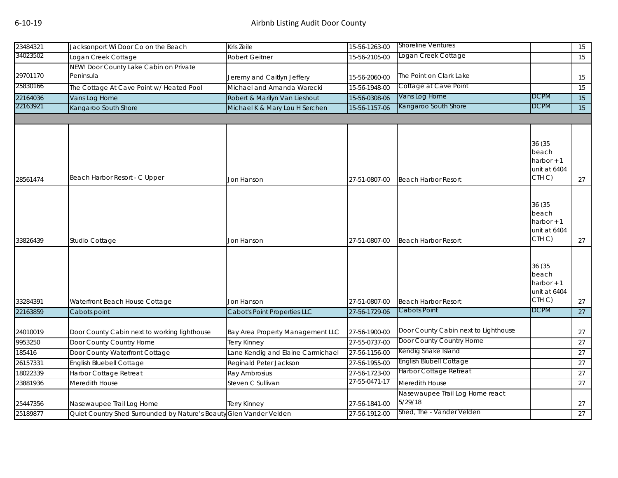| 23484321 | Jacksonport Wi Door Co on the Beach                                 | Kris Zeile                        | 15-56-1263-00 | <b>Shoreline Ventures</b>                  |                                                                      | 15 |
|----------|---------------------------------------------------------------------|-----------------------------------|---------------|--------------------------------------------|----------------------------------------------------------------------|----|
| 34023502 | ogan Creek Cottage                                                  | <b>Robert Geitner</b>             | 15-56-2105-00 | Logan Creek Cottage                        |                                                                      | 15 |
|          | NEW! Door County Lake Cabin on Private                              |                                   |               |                                            |                                                                      |    |
| 29701170 | Peninsula                                                           | Jeremy and Caitlyn Jeffery        | 15-56-2060-00 | The Point on Clark Lake                    |                                                                      | 15 |
| 25830166 | The Cottage At Cave Point w/ Heated Pool                            | Michael and Amanda Warecki        | 15-56-1948-00 | Cottage at Cave Point                      |                                                                      | 15 |
| 22164036 | Vans Log Home                                                       | Robert & Marilyn Van Lieshout     | 15-56-0308-06 | Vans Log Home                              | <b>DCPM</b>                                                          | 15 |
| 22163921 | Kangaroo South Shore                                                | Michael K & Mary Lou H Serchen    | 15-56-1157-06 | Kangaroo South Shore                       | DCPM                                                                 | 15 |
|          |                                                                     |                                   |               |                                            |                                                                      |    |
|          |                                                                     |                                   |               |                                            |                                                                      |    |
| 28561474 | Beach Harbor Resort - C Upper                                       | Jon Hanson                        | 27-51-0807-00 | <b>Beach Harbor Resort</b>                 | 36 (35<br>beach<br>harbor $+1$<br>unit at 6404<br>CTH <sub>C</sub> ) | 27 |
|          |                                                                     |                                   |               |                                            |                                                                      |    |
| 33826439 | Studio Cottage                                                      | Jon Hanson                        | 27-51-0807-00 | <b>Beach Harbor Resort</b>                 | 36 (35<br>beach<br>harbor $+1$<br>unit at 6404<br>CTH <sub>C</sub> ) | 27 |
|          |                                                                     |                                   |               |                                            |                                                                      |    |
|          |                                                                     |                                   |               |                                            | 36 (35<br>beach<br>harbor $+1$<br>unit at 6404<br>CTH C)             |    |
| 33284391 | Waterfront Beach House Cottage                                      | Jon Hanson                        | 27-51-0807-00 | <b>Beach Harbor Resort</b><br>Cabots Point | <b>DCPM</b>                                                          | 27 |
| 22163859 | Cabots point                                                        | Cabot's Point Properties LLC      | 27-56-1729-06 |                                            |                                                                      | 27 |
| 24010019 | Door County Cabin next to working lighthouse                        | Bay Area Property Management LLC  | 27-56-1900-00 | Door County Cabin next to Lighthouse       |                                                                      | 27 |
| 9953250  | Door County Country Home                                            | Terry Kinney                      | 27-55-0737-00 | Door County Country Home                   |                                                                      | 27 |
| 185416   | Door County Waterfront Cottage                                      | Lane Kendig and Elaine Carmichael | 27-56-1156-00 | Kendig Snake Island                        |                                                                      | 27 |
| 26157331 | English Bluebell Cottage                                            | Reginald Peter Jackson            | 27-56-1955-00 | English Blubell Cottage                    |                                                                      | 27 |
| 18022339 | Harbor Cottage Retreat                                              | Ray Ambrosius                     | 27-56-1723-00 | Harbor Cottage Retreat                     |                                                                      | 27 |
| 23881936 | Meredith House                                                      | Steven C Sullivan                 | 27-55-0471-17 | Meredith House                             |                                                                      | 27 |
| 25447356 | Nasewaupee Trail Log Home                                           | Terry Kinney                      | 27-56-1841-00 | Nasewaupee Trail Log Home react<br>5/29/18 |                                                                      | 27 |
| 25189877 | Quiet Country Shed Surrounded by Nature's Beauty Glen Vander Velden |                                   | 27-56-1912-00 | Shed, The - Vander Velden                  |                                                                      | 27 |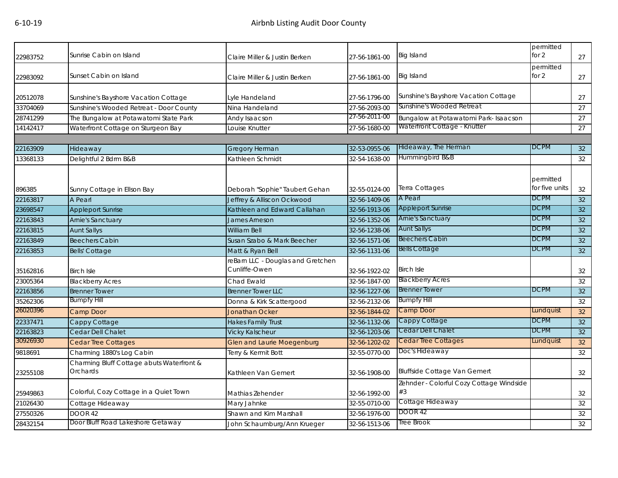| 22983752 | Sunrise Cabin on Island                               | Claire Miller & Justin Berken                      | 27-56-1861-00 | Big Island                                     | permitted<br>for $2$        | 27 |
|----------|-------------------------------------------------------|----------------------------------------------------|---------------|------------------------------------------------|-----------------------------|----|
| 22983092 | Sunset Cabin on Island                                | Claire Miller & Justin Berken                      | 27-56-1861-00 | Big Island                                     | permitted<br>for $2$        | 27 |
| 20512078 | Sunshine's Bayshore Vacation Cottage                  | Lyle Handeland                                     | 27-56-1796-00 | Sunshine's Bayshore Vacation Cottage           |                             | 27 |
| 33704069 | Sunshine's Wooded Retreat - Door County               | Nina Handeland                                     | 27-56-2093-00 | Sunshine's Wooded Retreat                      |                             | 27 |
| 28741299 | The Bungalow at Potawatomi State Park                 | Andy Isaacson                                      | 27-56-2011-00 | Bungalow at Potawatomi Park- Isaacson          |                             | 27 |
| 14142417 | Waterfront Cottage on Sturgeon Bay                    | Louise Knutter                                     | 27-56-1680-00 | Waterfront Cottage - Knutter                   |                             | 27 |
|          |                                                       |                                                    |               |                                                |                             |    |
| 22163909 | Hideaway                                              | <b>Gregory Herman</b>                              | 32-53-0955-06 | Hideaway, The Herman                           | DCPM                        | 32 |
| 13368133 | Delightful 2 Bdrm B&B                                 | Kathleen Schmidt                                   | 32-54-1638-00 | Hummingbird B&B                                |                             | 32 |
| 896385   | Sunny Cottage in Ellson Bay                           | Deborah "Sophie" Taubert Gehan                     | 32-55-0124-00 | Terra Cottages                                 | permitted<br>for five units | 32 |
| 22163817 | A Pearl                                               | Jeffrey & Alliscon Ockwood                         | 32-56-1409-06 | A Pearl                                        | <b>DCPM</b>                 | 32 |
| 23698547 | <b>Appleport Sunrise</b>                              | Kathleen and Edward Callahan                       | 32-56-1913-06 | <b>Appleport Sunrise</b>                       | <b>DCPM</b>                 | 32 |
| 22163843 | <b>Arnie's Sanctuary</b>                              | <b>James Arneson</b>                               | 32-56-1352-06 | Arnie's Sanctuary                              | <b>DCPM</b>                 | 32 |
| 22163815 | <b>Aunt Sallys</b>                                    | William Bell                                       | 32-56-1238-06 | <b>Aunt Sallys</b>                             | <b>DCPM</b>                 | 32 |
| 22163849 | <b>Beechers Cabin</b>                                 | Susan Szabo & Mark Beecher                         | 32-56-1571-06 | <b>Beechers Cabin</b>                          | <b>DCPM</b>                 | 32 |
| 22163853 | <b>Bells' Cottage</b>                                 | Matt & Ryan Bell                                   | 32-56-1131-06 | <b>Bells Cottage</b>                           | <b>DCPM</b>                 | 32 |
| 35162816 | <b>Birch Isle</b>                                     | reBarn LLC - Douglas and Gretchen<br>Cunliffe-Owen | 32-56-1922-02 | <b>Birch Isle</b>                              |                             | 32 |
| 23005364 | <b>Blackberry Acres</b>                               | Chad Ewald                                         | 32-56-1847-00 | <b>Blackberry Acres</b>                        |                             | 32 |
| 22163856 | <b>Brenner Tower</b>                                  | <b>Brenner Tower LLC</b>                           | 32-56-1227-06 | <b>Brenner Tower</b>                           | <b>DCPM</b>                 | 32 |
| 35262306 | <b>Bumpfy Hill</b>                                    | Donna & Kirk Scattergood                           | 32-56-2132-06 | <b>Bumpfy Hill</b>                             |                             | 32 |
| 26020396 | Camp Door                                             | <b>Jonathan Ocker</b>                              | 32-56-1844-02 | <b>Camp Door</b>                               | Lundquist                   | 32 |
| 22337471 | Cappy Cottage                                         | <b>Hakes Family Trust</b>                          | 32-56-1132-06 | Cappy Cottage                                  | <b>DCPM</b>                 | 32 |
| 22163823 | Cedar Dell Chalet                                     | <b>Vicky Kalscheur</b>                             | 32-56-1203-06 | Cedar Dell Chalet                              | DCPM                        | 32 |
| 30926930 | <b>Cedar Tree Cottages</b>                            | <b>Glen and Laurie Moegenburg</b>                  | 32-56-1202-02 | <b>Cedar Tree Cottages</b>                     | Lundquist                   | 32 |
| 9818691  | Charming 1880's Log Cabin                             | Terry & Kermit Bott                                | 32-55-0770-00 | Doc's Hideaway                                 |                             | 32 |
| 23255108 | Charming Bluff Cottage abuts Waterfront &<br>Orchards | Kathleen Van Gemert                                | 32-56-1908-00 | <b>Bluffside Cottage Van Gemert</b>            |                             | 32 |
| 25949863 | Colorful, Cozy Cottage in a Quiet Town                | Mathias Zehender                                   | 32-56-1992-00 | Zehnder - Colorful Cozy Cottage Windside<br>#3 |                             | 32 |
| 21026430 | Cottage Hideaway                                      | Mary Jahnke                                        | 32-55-0710-00 | Cottage Hideaway                               |                             | 32 |
| 27550326 | DOOR 42                                               | Shawn and Kim Marshall                             | 32-56-1976-00 | DOOR 42                                        |                             | 32 |
| 28432154 | Door Bluff Road Lakeshore Getaway                     | John Schaumburg/Ann Krueger                        | 32-56-1513-06 | <b>Tree Brook</b>                              |                             | 32 |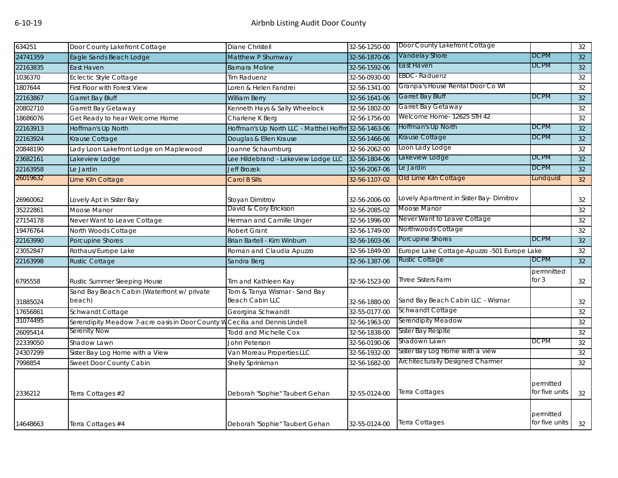| 634251   | Door County Lakefront Cottage                                               | Diane Christell                                         | 32-56-1250-00 | Door County Lakefront Cottage               |                             | 32              |
|----------|-----------------------------------------------------------------------------|---------------------------------------------------------|---------------|---------------------------------------------|-----------------------------|-----------------|
| 24741359 | Eagle Sands Beach Lodge                                                     | Matthew P Shumway                                       | 32-56-1870-06 | Vandelay Shore                              | DCPM                        | 32              |
| 22163835 | East Haven                                                                  | <b>Barnara Moline</b>                                   | 32-56-1592-06 | East Haven                                  | <b>DCPM</b>                 | 32              |
| 1036370  | <b>Eclectic Style Cottage</b>                                               | <b>Tim Raduenz</b>                                      | 32-56-0930-00 | EBDC-Raduenz                                |                             | 32              |
| 1807644  | First Floor with Forest View                                                | Loren & Helen Fandrei                                   | 32-56-1341-00 | Granpa's House Rental Door Co WI            |                             | 32              |
| 22163867 | Garret Bay Bluff                                                            | <b>William Berry</b>                                    | 32-56-1641-06 | Garret Bay Bluff                            | <b>DCPM</b>                 | 32              |
| 20802710 | Garrett Bay Getaway                                                         | Kenneth Hays & Sally Wheelock                           | 32-56-1802-00 | Garret Bay Getaway                          |                             | 32              |
| 18686076 | Get Ready to hear Welcome Home                                              | Charlene K Berg                                         | 32-56-1756-00 | Welcome Home- 12625 STH 42                  |                             | 32              |
| 22163913 | Hoffman's Up North                                                          | Hoffman's Up North LLC - Matthel Hoffm 32-56-1463-06    |               | Hoffman's Up North                          | DCPM                        | 32 <sup>°</sup> |
| 22163924 | Krause Cottage                                                              | Douglas & Ellen Krause                                  | 32-56-1466-06 | Krause Cottage                              | DCPM                        | 32              |
| 20848190 | Lady Loon Lakefront Lodge on Maplewood                                      | Joanne Schaumburg                                       | 32-56-2062-00 | Loon Lady Lodge                             |                             | 32              |
| 23682161 | Lakeview Lodge                                                              | Lee Hildebrand - Lakeview Lodge LLC                     | 32-56-1804-06 | Lakeview Lodge                              | <b>DCPM</b>                 | 32              |
| 22163958 | Le Jardin                                                                   | <b>Jeff Brozek</b>                                      | 32-56-2067-06 | Le Jardin                                   | <b>DCPM</b>                 | 32              |
| 26019632 | Lime Kiln Cottage                                                           | Carol B Sills                                           | 32-56-1107-02 | Old Lime Kiln Cottage                       | Lundquist                   | 32 <sup>°</sup> |
| 26960062 | Lovely Apt in Sister Bay                                                    | Stoyan Dimitrov                                         | 32-56-2006-00 | Lovely Apartment in Sister Bay-Dimitrov     |                             | 32              |
| 35222861 | Moose Manor                                                                 | David & Cory Erickson                                   | 32-56-2085-02 | Moose Manor                                 |                             | 32              |
| 27154178 | Never Want to Leave Cottage                                                 | Herman and Camille Unger                                | 32-56-1996-00 | Never Want to Leave Cottage                 |                             | 32              |
| 19476764 | North Woods Cottage                                                         | <b>Robert Grant</b>                                     | 32-56-1749-00 | Northwoods Cottage                          |                             | 32              |
| 22163990 | Porcupine Shores                                                            | Brian Bartell - Kim Winburn                             | 32-56-1603-06 | Porcupine Shores                            | <b>DCPM</b>                 | 32              |
| 23052847 | Rothaus/Europe Lake                                                         | Roman and Claudia Apuzzo                                | 32-56-1849-00 | Europe Lake Cottage-Apuzzo -501 Europe Lake |                             | 32              |
| 22163998 | <b>Rustic Cottage</b>                                                       | Sandra Berg                                             | 32-56-1387-06 | <b>Rustic Cottage</b>                       | <b>DCPM</b>                 | 32              |
| 6795558  | Rustic Summer Sleeping House                                                | Tim and Kathleen Kay                                    | 32-56-1523-00 | <b>Three Sisters Farm</b>                   | permnitted<br>for $3$       | 32              |
| 31885024 | Sand Bay Beach Cabin (Waterfront w/ private<br>beach)                       | Tom & Tanya Wismar - Sand Bay<br><b>Beach Cabin LLC</b> | 32-56-1880-00 | Sand Bay Beach Cabin LLC - Wismar           |                             | 32              |
| 17656861 | Schwandt Cottage                                                            | Georgina Schwandt                                       | 32-55-0177-00 | Schwandt Cottage                            |                             | 32              |
| 31074495 | Serendipity Meadow 7-acre oasis in Door County W Cecilia and Dennis Lindell |                                                         | 32-56-1963-00 | Serendipity Meadow                          |                             | 32              |
| 26095414 | Serenity Now                                                                | <b>Todd and Michelle Cox</b>                            | 32-56-1838-00 | Sister Bay Respite                          |                             | 32              |
| 22339050 | Shadow Lawn                                                                 | John Peterson                                           | 32-56-0190-06 | Shadown Lawn                                | DCPM                        | 32              |
| 24307299 | Sister Bay Log Home with a View                                             | Van Moreau Properties LLC                               | 32-56-1932-00 | Sister Bay Log Home with a view             |                             | 32              |
| 7998854  | Sweet Door County Cabin                                                     | Shelly Sprinkman                                        | 32-56-1682-00 | Architecturally Designed Charmer            |                             | 32              |
| 2336212  | Terra Cottages #2                                                           | Deborah "Sophie" Taubert Gehan                          | 32-55-0124-00 | Terra Cottages                              | permitted<br>for five units | 32              |
| 14648663 | Terra Cottages #4                                                           | Deborah "Sophie" Taubert Gehan                          | 32-55-0124-00 | <b>Terra Cottages</b>                       | permitted<br>for five units | 32              |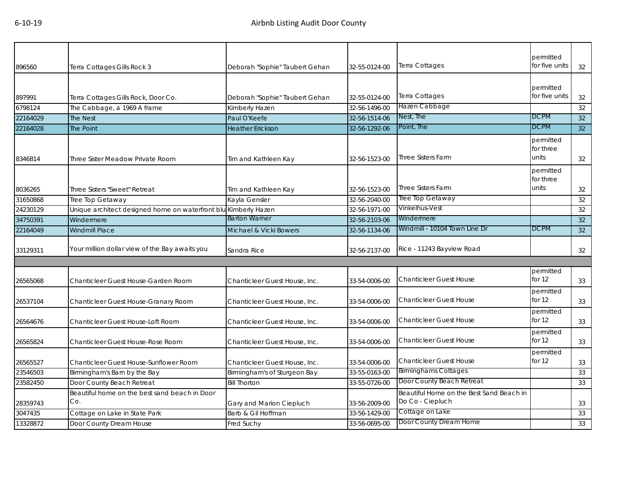|                     |                                                      |                                                |               |                                                              | permitted                       |                 |
|---------------------|------------------------------------------------------|------------------------------------------------|---------------|--------------------------------------------------------------|---------------------------------|-----------------|
| 896560              | Terra Cottages Gills Rock 3                          | Deborah "Sophie" Taubert Gehan                 | 32-55-0124-00 | <b>Terra Cottages</b>                                        | for five units                  | 32              |
|                     |                                                      |                                                |               |                                                              | permitted                       |                 |
| 897991              | Terra Cottages Gills Rock, Door Co.                  | Deborah "Sophie" Taubert Gehan                 | 32-55-0124-00 | Terra Cottages                                               | for five units                  | 32              |
| 6798124             | The Cabbage, a 1969 A frame                          | Kimberly Hazen                                 | 32-56-1496-00 | Hazen Cabbage                                                |                                 | 32              |
| 22164029            | <b>The Nest</b>                                      | Paul O'Keefe                                   | 32-56-1514-06 | Nest, The                                                    | <b>DCPM</b>                     | 32              |
| 22164028            | <b>The Point</b>                                     | <b>Heather Erickson</b>                        | 32-56-1292-06 | Point, The                                                   | <b>DCPM</b>                     | 32 <sup>°</sup> |
| 8346814             | Three Sister Meadow Private Room                     | Tim and Kathleen Kay                           | 32-56-1523-00 | <b>Three Sisters Farm</b>                                    | permitted<br>for three<br>units | 32              |
| 8036265             | Three Sisters "Sweet" Retreat                        | Tim and Kathleen Kay                           | 32-56-1523-00 | <b>Three Sisters Farm</b>                                    | permitted<br>for three<br>units | 32              |
| 31650868            | Tree Top Getaway                                     | Kayla Gensler                                  | 32-56-2040-00 | Tree Top Getaway                                             |                                 | 32              |
| 24230129            | Unique architect designed home on waterfront blu     | u Kimberly Hazen                               | 32-56-1971-00 | Vinkelhus-Vest                                               |                                 | 32              |
| 34750391            | Windermere                                           | <b>Barton Warner</b>                           | 32-56-2103-06 | Windermere                                                   |                                 | 32              |
| 22164049            | <b>Windmill Place</b>                                | Michael & Vicki Bowers                         | 32-56-1134-06 | Windmill - 10104 Town Line Dr                                | <b>DCPM</b>                     | 32              |
| 33129311            | Your million dollar view of the Bay awaits you       | Sandra Rice                                    | 32-56-2137-00 | Rice - 11243 Bayview Road                                    |                                 | 32              |
|                     |                                                      |                                                |               |                                                              |                                 |                 |
| 26565068            | Chanticleer Guest House-Garden Room                  | Chanticleer Guest House, Inc.                  | 33-54-0006-00 | <b>Chanticleer Guest House</b>                               | permitted<br>for 12             | 33              |
| 26537104            | Chanticleer Guest House-Granary Room                 | Chanticleer Guest House, Inc.                  | 33-54-0006-00 | <b>Chanticleer Guest House</b>                               | permitted<br>for $12$           | 33              |
| 26564676            | Chanticleer Guest House-Loft Room                    | Chanticleer Guest House, Inc.                  | 33-54-0006-00 | <b>Chanticleer Guest House</b>                               | permitted<br>for $12$           | 33              |
| 26565824            |                                                      |                                                |               | <b>Chanticleer Guest House</b>                               | permitted                       |                 |
|                     | Chanticleer Guest House-Rose Room                    | Chanticleer Guest House, Inc.                  | 33-54-0006-00 |                                                              | for $12$                        | 33              |
| 26565527            | Chanticleer Guest House-Sunflower Room               | Chanticleer Guest House, Inc.                  | 33-54-0006-00 | <b>Chanticleer Guest House</b>                               | permitted<br>for 12             | 33              |
| 23546503            | Birmingham's Barn by the Bay                         | Birmingham's of Sturgeon Bay                   | 33-55-0163-00 | <b>Birminghams Cottages</b>                                  |                                 | 33              |
| 23582450            | Door County Beach Retreat                            | <b>Bill Thorton</b>                            | 33-55-0726-00 | Door County Beach Retreat                                    |                                 | 33              |
|                     | Beautiful home on the best sand beach in Door<br>Co. |                                                | 33-56-2009-00 | Beautiful Home on the Best Sand Beach in<br>Do Co - Ciepluch |                                 | 33              |
| 28359743<br>3047435 | Cottage on Lake in State Park                        | Gary and Marion Ciepluch<br>Barb & Gil Hoffman | 33-56-1429-00 | Cottage on Lake                                              |                                 | 33              |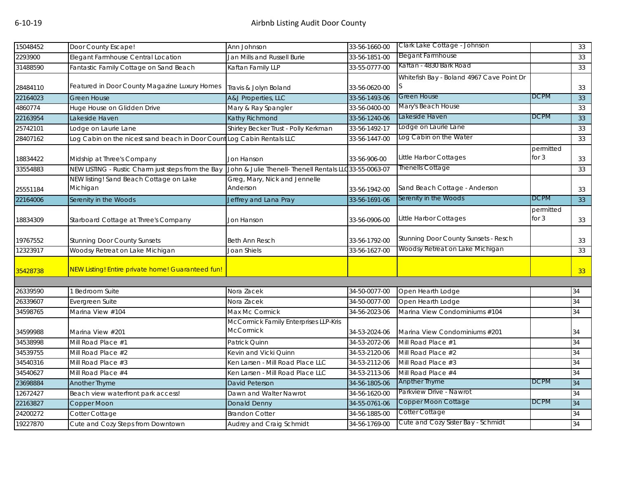| 15048452 | Door County Escape!                                                   | Ann Johnson                              | 33-56-1660-00  | Clark Lake Cottage - Johnson              |             | 33              |
|----------|-----------------------------------------------------------------------|------------------------------------------|----------------|-------------------------------------------|-------------|-----------------|
| 2293900  | Elegant Farmhouse Central Location                                    | Jan Mills and Russell Burie              | 33-56-1851-00  | Elegant Farmhouse                         |             | 33              |
| 31488590 | Fantastic Family Cottage on Sand Beach                                | Kaftan Family LLP                        | 33-55-0777-00  | Kaftan - 4830 Bark Road                   |             | 33              |
|          |                                                                       |                                          |                | Whitefish Bay - Boland 4967 Cave Point Dr |             |                 |
| 28484110 | Featured in Door County Magazine Luxury Homes                         | Travis & Jolyn Boland                    | 33-56-0620-00  | S.                                        |             | 33              |
| 22164023 | <b>Green House</b>                                                    | <b>A&amp;J Properties, LLC</b>           | 33-56-1493-06  | Green House                               | <b>DCPM</b> | 33              |
| 4860774  | Huge House on Glidden Drive                                           | Mary & Ray Spangler                      | 33-56-0400-00  | Mary's Beach House                        |             | 33              |
| 22163954 | Lakeside Haven                                                        | Kathy Richmond                           | 33-56-1240-06  | Lakeside Haven                            | DCPM        | 33              |
| 25742101 | Lodge on Laurie Lane                                                  | Shirley Becker Trust - Polly Kerkman     | 33-56-1492-17  | Lodge on Laurie Lane                      |             | 33              |
| 28407162 | Log Cabin on the nicest sand beach in Door CountLog Cabin Rentals LLC |                                          | 33-56-1447-00  | Log Cabin on the Water                    |             | 33              |
|          |                                                                       |                                          |                |                                           | permitted   |                 |
| 18834422 | Midship at Three's Company                                            | <b>Jon Hanson</b>                        | 33-56-906-00   | Little Harbor Cottages                    | for $3$     | 33              |
| 33554883 | NEW LISTING - Rustic Charm just steps from the Bay                    | John & Julie Thenell- Thenell Rentals LL | C33-55-0063-07 | Thenells Cottage                          |             | 33              |
|          | NEW listing! Sand Beach Cottage on Lake                               | Greg, Mary, Nick and Jennelle            |                |                                           |             |                 |
| 25551184 | Michigan                                                              | Anderson                                 | 33-56-1942-00  | Sand Beach Cottage - Anderson             |             | 33              |
| 22164006 | Serenity in the Woods                                                 | Jeffrey and Lana Pray                    | 33-56-1691-06  | Serenity in the Woods                     | <b>DCPM</b> | 33              |
|          |                                                                       |                                          |                |                                           | permitted   |                 |
| 18834309 | Starboard Cottage at Three's Company                                  | Jon Hanson                               | 33-56-0906-00  | Little Harbor Cottages                    | for $3$     | 33              |
|          |                                                                       |                                          |                |                                           |             |                 |
| 19767552 | <b>Stunning Door County Sunsets</b>                                   | <b>Beth Ann Resch</b>                    | 33-56-1792-00  | Stunning Door County Sunsets - Resch      |             | 33              |
| 12323917 | Woodsy Retreat on Lake Michigan                                       | Joan Shiels                              | 33-56-1627-00  | Woodsy Retreat on Lake Michigan           |             | 33              |
|          |                                                                       |                                          |                |                                           |             |                 |
| 35428738 | NEW Listing! Entire private home! Guaranteed fun!                     |                                          |                |                                           |             | 33 <sup>°</sup> |
|          |                                                                       |                                          |                |                                           |             |                 |
| 26339590 | <b>Bedroom Suite</b>                                                  | Nora Zacek                               | 34-50-0077-00  | Open Hearth Lodge                         |             | 34              |
| 26339607 | Evergreen Suite                                                       | Nora Zacek                               | 34-50-0077-00  | Open Hearth Lodge                         |             | 34              |
| 34598765 | Marina View #104                                                      | Max Mc Cormick                           | 34-56-2023-06  | Marina View Condominiums #104             |             | 34              |
|          |                                                                       | McCormick Family Enterprises LLP-Kris    |                |                                           |             |                 |
| 34599988 | Marina View #201                                                      | <b>McCormick</b>                         | 34-53-2024-06  | Marina View Condominiums #201             |             | 34              |
| 34538998 | Mill Road Place #1                                                    | Patrick Quinn                            | 34-53-2072-06  | Mill Road Place #1                        |             | 34              |
| 34539755 | Mill Road Place #2                                                    | Kevin and Vicki Quinn                    | 34-53-2120-06  | Mill Road Place #2                        |             | 34              |
| 34540316 | Mill Road Place #3                                                    | Ken Larsen - Mill Road Place LLC         | 34-53-2112-06  | Mill Road Place #3                        |             | 34              |
| 34540627 | Mill Road Place #4                                                    | Ken Larsen - Mill Road Place LLC         | 34-53-2113-06  | Mill Road Place #4                        |             | 34              |
| 23698884 | Another Thyme                                                         | David Peterson                           | 34-56-1805-06  | Anpther Thyme                             | <b>DCPM</b> | 34              |
| 12672427 | Beach view waterfront park access!                                    | Dawn and Walter Nawrot                   | 34-56-1620-00  | Parkview Drive - Nawrot                   |             | 34              |
| 22163827 | Copper Moon                                                           | Donald Denny                             | 34-55-0761-06  | Copper Moon Cottage                       | <b>DCPM</b> | 34              |
| 24200272 | Cotter Cottage                                                        | <b>Brandon Cotter</b>                    | 34-56-1885-00  | Cotter Cottage                            |             | 34              |
| 19227870 | Cute and Cozy Steps from Downtown                                     | Audrey and Craig Schmidt                 | 34-56-1769-00  | Cute and Cozy Sister Bay - Schmidt        |             | 34              |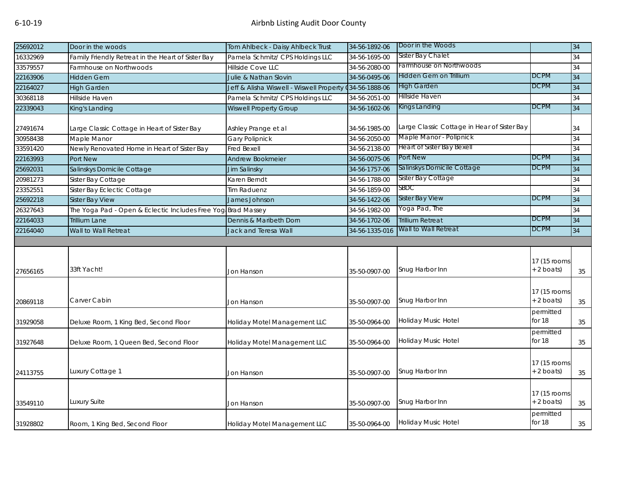| 25692012 | Door in the woods                                            | Tom Ahlbeck - Daisy Ahlbeck Trust                       | 34-56-1892-06  | Door in the Woods                           |                              | 34 |
|----------|--------------------------------------------------------------|---------------------------------------------------------|----------------|---------------------------------------------|------------------------------|----|
| 16332969 | Family Friendly Retreat in the Heart of Sister Bay           | Pamela Schmitz/ CPS Holdings LLC                        | 34-56-1695-00  | Sister Bay Chalet                           |                              | 34 |
| 33579557 | Farmhouse on Northwoods                                      | Hillside Cove LLC                                       | 34-56-2080-00  | Farmhouse on Northwoods                     |                              | 34 |
| 22163906 | <b>Hidden Gem</b>                                            | Julie & Nathan Slovin                                   | 34-56-0495-06  | Hidden Gem on Trillium                      | <b>DCPM</b>                  | 34 |
| 22164027 | <b>High Garden</b>                                           | Jeff & Alisha Wiswell - Wiswell Property (34-56-1888-06 |                | <b>High Garden</b>                          | <b>DCPM</b>                  | 34 |
| 30368118 | Hillside Haven                                               | Pamela Schmitz/ CPS Holdings LLC                        | 34-56-2051-00  | Hillside Haven                              |                              | 34 |
| 22339043 | King's Landing                                               | <b>Wiswell Property Group</b>                           | 34-56-1602-06  | Kings Landing                               | <b>DCPM</b>                  | 34 |
| 27491674 | Large Classic Cottage in Heart of Sister Bay                 | Ashley Prange et al                                     | 34-56-1985-00  | Large Classic Cottage in Hear of Sister Bay |                              | 34 |
| 30958438 | Maple Manor                                                  | <b>Gary Polipnick</b>                                   | 34-56-2050-00  | Maple Manor - Polipnick                     |                              | 34 |
| 33591420 | Newly Renovated Home in Heart of Sister Bay                  | <b>Fred Bexell</b>                                      | 34-56-2138-00  | <b>Heart of Sister Bay Bexell</b>           |                              | 34 |
| 22163993 | Port New                                                     | Andrew Bookmeier                                        | 34-56-0075-06  | Port New                                    | <b>DCPM</b>                  | 34 |
| 25692031 | Salinskys Domicile Cottage                                   | Jim Salinsky                                            | 34-56-1757-06  | Salinskys Domicile Cottage                  | <b>DCPM</b>                  | 34 |
| 20981273 | Sister Bay Cottage                                           | Karen Berndt                                            | 34-56-1788-00  | Sister Bay Cottage                          |                              | 34 |
| 23352551 | Sister Bay Eclectic Cottage                                  | <b>Tim Raduenz</b>                                      | 34-56-1859-00  | SBDC                                        |                              | 34 |
| 25692218 | <b>Sister Bay View</b>                                       | James Johnson                                           | 34-56-1422-06  | Sister Bay View                             | <b>DCPM</b>                  | 34 |
| 26327643 | The Yoga Pad - Open & Eclectic Includes Free Yog Brad Massey |                                                         | 34-56-1982-00  | Yoga Pad, The                               |                              | 34 |
| 22164033 | <b>Trillium Lane</b>                                         | Dennis & Maribeth Dorn                                  | 34-56-1702-06  | <b>Trillium Retreat</b>                     | <b>DCPM</b>                  | 34 |
| 22164040 | Wall to Wall Retreat                                         | <b>Jack and Teresa Wall</b>                             | 34-56-1335-016 | Wall to Wall Retreat                        | <b>DCPM</b>                  | 34 |
|          |                                                              |                                                         |                |                                             |                              |    |
| 27656165 | 33ft Yacht!                                                  | Jon Hanson                                              | 35-50-0907-00  | Snug Harbor Inn                             | 17 (15 rooms<br>+ 2 boats)   | 35 |
| 20869118 | Carver Cabin                                                 | Jon Hanson                                              | 35-50-0907-00  | Snug Harbor Inn                             | 17 (15 rooms<br>$+ 2$ boats) | 35 |
| 31929058 | Deluxe Room, 1 King Bed, Second Floor                        | Holiday Motel Management LLC                            | 35-50-0964-00  | Holiday Music Hotel                         | permitted<br>for 18          | 35 |
| 31927648 | Deluxe Room, 1 Queen Bed, Second Floor                       | Holiday Motel Management LLC                            | 35-50-0964-00  | Holiday Music Hotel                         | permitted<br>for 18          | 35 |
| 24113755 | Luxury Cottage 1                                             | Jon Hanson                                              | 35-50-0907-00  | Snug Harbor Inn                             | 17 (15 rooms<br>+ 2 boats)   | 35 |
| 33549110 | Luxury Suite                                                 | Jon Hanson                                              | 35-50-0907-00  | Snug Harbor Inn                             | 17 (15 rooms<br>$+ 2$ boats) | 35 |
| 31928802 | Room, 1 King Bed, Second Floor                               | Holiday Motel Management LLC                            | 35-50-0964-00  | Holiday Music Hotel                         | permitted<br>for 18          | 35 |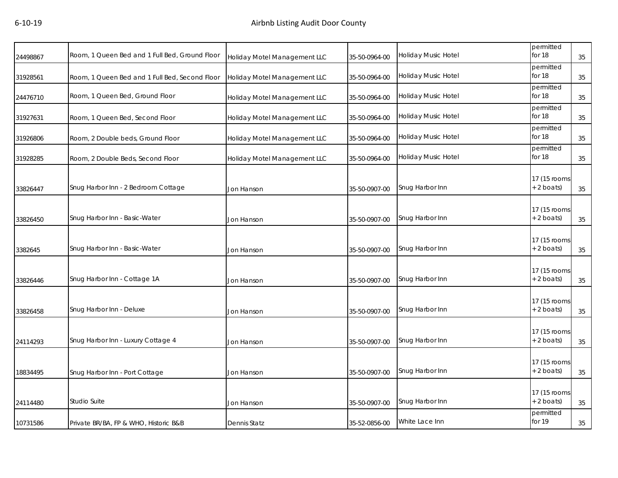| 24498867 | Room, 1 Queen Bed and 1 Full Bed, Ground Floor | Holiday Motel Management LLC | 35-50-0964-00 | Holiday Music Hotel | permitted<br>for 18           | 35 |
|----------|------------------------------------------------|------------------------------|---------------|---------------------|-------------------------------|----|
| 31928561 | Room, 1 Queen Bed and 1 Full Bed, Second Floor | Holiday Motel Management LLC | 35-50-0964-00 | Holiday Music Hotel | permitted<br>for 18           | 35 |
| 24476710 | Room, 1 Queen Bed, Ground Floor                | Holiday Motel Management LLC | 35-50-0964-00 | Holiday Music Hotel | permitted<br>for 18           | 35 |
| 31927631 | Room, 1 Queen Bed, Second Floor                | Holiday Motel Management LLC | 35-50-0964-00 | Holiday Music Hotel | permitted<br>for 18           | 35 |
| 31926806 | Room, 2 Double beds, Ground Floor              | Holiday Motel Management LLC | 35-50-0964-00 | Holiday Music Hotel | permitted<br>for 18           | 35 |
| 31928285 | Room, 2 Double Beds, Second Floor              | Holiday Motel Management LLC | 35-50-0964-00 | Holiday Music Hotel | permitted<br>for 18           | 35 |
| 33826447 | Snug Harbor Inn - 2 Bedroom Cottage            | Jon Hanson                   | 35-50-0907-00 | Snug Harbor Inn     | 17 (15 rooms<br>+ 2 boats)    | 35 |
| 33826450 | Snug Harbor Inn - Basic-Water                  | Jon Hanson                   | 35-50-0907-00 | Snug Harbor Inn     | 17 (15 rooms<br>+ 2 boats)    | 35 |
| 3382645  | Snug Harbor Inn - Basic-Water                  | Jon Hanson                   | 35-50-0907-00 | Snug Harbor Inn     | 17 (15 rooms<br>$+ 2$ boats)  | 35 |
| 33826446 | Snug Harbor Inn - Cottage 1A                   | Jon Hanson                   | 35-50-0907-00 | Snug Harbor Inn     | 17 (15 rooms)<br>$+ 2$ boats) | 35 |
| 33826458 | Snug Harbor Inn - Deluxe                       | Jon Hanson                   | 35-50-0907-00 | Snug Harbor Inn     | 17 (15 rooms<br>+ 2 boats)    | 35 |
| 24114293 | Snug Harbor Inn - Luxury Cottage 4             | Jon Hanson                   | 35-50-0907-00 | Snug Harbor Inn     | 17 (15 rooms<br>+ 2 boats)    | 35 |
| 18834495 | Snug Harbor Inn - Port Cottage                 | Jon Hanson                   | 35-50-0907-00 | Snug Harbor Inn     | 17 (15 rooms<br>+ 2 boats)    | 35 |
| 24114480 | <b>Studio Suite</b>                            | Jon Hanson                   | 35-50-0907-00 | Snug Harbor Inn     | 17 (15 rooms)<br>$+ 2$ boats) | 35 |
| 10731586 | Private BR/BA, FP & WHO, Historic B&B          | <b>Dennis Statz</b>          | 35-52-0856-00 | White Lace Inn      | permitted<br>for 19           | 35 |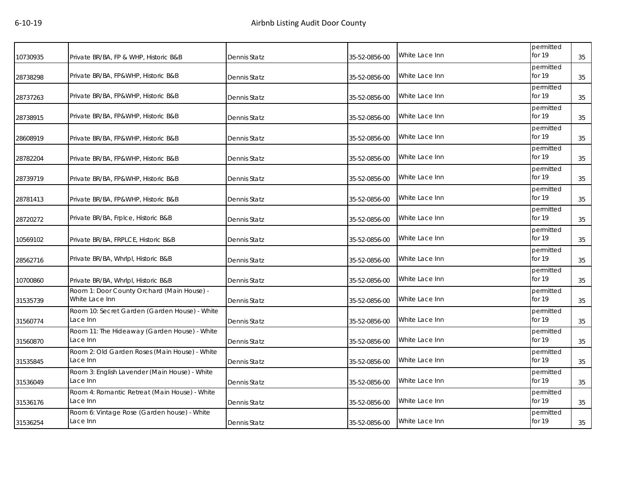| 10730935 | Private BR/BA, FP & WHP, Historic B&B                        | Dennis Statz        | 35-52-0856-00 | White Lace Inn | permitted<br>for 19 | 35 |
|----------|--------------------------------------------------------------|---------------------|---------------|----------------|---------------------|----|
| 28738298 | Private BR/BA, FP&WHP, Historic B&B                          | Dennis Statz        | 35-52-0856-00 | White Lace Inn | permitted<br>for 19 | 35 |
| 28737263 | Private BR/BA, FP&WHP, Historic B&B                          | Dennis Statz        | 35-52-0856-00 | White Lace Inn | permitted<br>for 19 | 35 |
| 28738915 | Private BR/BA, FP&WHP, Historic B&B                          | Dennis Statz        | 35-52-0856-00 | White Lace Inn | permitted<br>for 19 | 35 |
| 28608919 | Private BR/BA, FP&WHP, Historic B&B                          | Dennis Statz        | 35-52-0856-00 | White Lace Inn | permitted<br>for 19 | 35 |
| 28782204 | Private BR/BA, FP&WHP, Historic B&B                          | Dennis Statz        | 35-52-0856-00 | White Lace Inn | permitted<br>for 19 | 35 |
| 28739719 | Private BR/BA, FP&WHP, Historic B&B                          | Dennis Statz        | 35-52-0856-00 | White Lace Inn | permitted<br>for 19 | 35 |
| 28781413 | Private BR/BA, FP&WHP, Historic B&B                          | Dennis Statz        | 35-52-0856-00 | White Lace Inn | permitted<br>for 19 | 35 |
| 28720272 | Private BR/BA, Frplce, Historic B&B                          | Dennis Statz        | 35-52-0856-00 | White Lace Inn | permitted<br>for 19 | 35 |
| 10569102 | Private BR/BA, FRPLCE, Historic B&B                          | Dennis Statz        | 35-52-0856-00 | White Lace Inn | permitted<br>for 19 | 35 |
| 28562716 | Private BR/BA, Whrlpl, Historic B&B                          | Dennis Statz        | 35-52-0856-00 | White Lace Inn | permitted<br>for 19 | 35 |
| 10700860 | Private BR/BA, Whrlpl, Historic B&B                          | Dennis Statz        | 35-52-0856-00 | White Lace Inn | permitted<br>for 19 | 35 |
| 31535739 | Room 1: Door County Orchard (Main House) -<br>White Lace Inn | Dennis Statz        | 35-52-0856-00 | White Lace Inn | permitted<br>for 19 | 35 |
| 31560774 | Room 10: Secret Garden (Garden House) - White<br>Lace Inn    | Dennis Statz        | 35-52-0856-00 | White Lace Inn | permitted<br>for 19 | 35 |
| 31560870 | Room 11: The Hideaway (Garden House) - White<br>Lace Inn     | <b>Dennis Statz</b> | 35-52-0856-00 | White Lace Inn | permitted<br>for 19 | 35 |
| 31535845 | Room 2: Old Garden Roses (Main House) - White<br>Lace Inn    | <b>Dennis Statz</b> | 35-52-0856-00 | White Lace Inn | permitted<br>for 19 | 35 |
| 31536049 | Room 3: English Lavender (Main House) - White<br>Lace Inn    | Dennis Statz        | 35-52-0856-00 | White Lace Inn | permitted<br>for 19 | 35 |
| 31536176 | Room 4: Romantic Retreat (Main House) - White<br>Lace Inn    | Dennis Statz        | 35-52-0856-00 | White Lace Inn | permitted<br>for 19 | 35 |
| 31536254 | Room 6: Vintage Rose (Garden house) - White<br>Lace Inn      | Dennis Statz        | 35-52-0856-00 | White Lace Inn | permitted<br>for 19 | 35 |
|          |                                                              |                     |               |                |                     |    |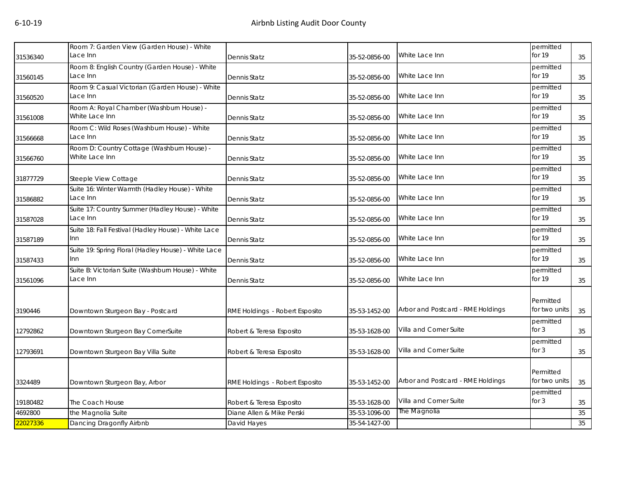| 31536340 | Room 7: Garden View (Garden House) - White<br>Lace Inn        | Dennis Statz                   | 35-52-0856-00 | White Lace Inn                    | permitted<br>for 19        | 35 |
|----------|---------------------------------------------------------------|--------------------------------|---------------|-----------------------------------|----------------------------|----|
| 31560145 | Room 8: English Country (Garden House) - White<br>Lace Inn    | Dennis Statz                   | 35-52-0856-00 | White Lace Inn                    | permitted<br>for 19        | 35 |
| 31560520 | Room 9: Casual Victorian (Garden House) - White<br>Lace Inn   | Dennis Statz                   | 35-52-0856-00 | White Lace Inn                    | permitted<br>for 19        | 35 |
| 31561008 | Room A: Royal Chamber (Washburn House) -<br>White Lace Inn    | Dennis Statz                   | 35-52-0856-00 | White Lace Inn                    | permitted<br>for 19        | 35 |
| 31566668 | Room C: Wild Roses (Washburn House) - White<br>Lace Inn       | Dennis Statz                   | 35-52-0856-00 | White Lace Inn                    | permitted<br>for 19        | 35 |
| 31566760 | Room D: Country Cottage (Washburn House) -<br>White Lace Inn  | Dennis Statz                   | 35-52-0856-00 | White Lace Inn                    | permitted<br>for 19        | 35 |
| 31877729 | Steeple View Cottage                                          | Dennis Statz                   | 35-52-0856-00 | White Lace Inn                    | permitted<br>for 19        | 35 |
| 31586882 | Suite 16: Winter Warmth (Hadley House) - White<br>Lace Inn    | Dennis Statz                   | 35-52-0856-00 | White Lace Inn                    | permitted<br>for 19        | 35 |
| 31587028 | Suite 17: Country Summer (Hadley House) - White<br>Lace Inn   | Dennis Statz                   | 35-52-0856-00 | White Lace Inn                    | permitted<br>for 19        | 35 |
| 31587189 | Suite 18: Fall Festival (Hadley House) - White Lace<br>Inn    | Dennis Statz                   | 35-52-0856-00 | White Lace Inn                    | permitted<br>for 19        | 35 |
| 31587433 | Suite 19: Spring Floral (Hadley House) - White Lace<br>Inn    | Dennis Statz                   | 35-52-0856-00 | White Lace Inn                    | permitted<br>for 19        | 35 |
| 31561096 | Suite B: Victorian Suite (Washburn House) - White<br>Lace Inn | Dennis Statz                   | 35-52-0856-00 | White Lace Inn                    | permitted<br>for 19        | 35 |
| 3190446  | Downtown Sturgeon Bay - Postcard                              | RME Holdings - Robert Esposito | 35-53-1452-00 | Arbor and Postcard - RME Holdings | Permitted<br>for two units | 35 |
| 12792862 | Downtown Sturgeon Bay CornerSuite                             | Robert & Teresa Esposito       | 35-53-1628-00 | Villa and Corner Suite            | permitted<br>for $3$       | 35 |
| 12793691 | Downtown Sturgeon Bay Villa Suite                             | Robert & Teresa Esposito       | 35-53-1628-00 | Villa and Corner Suite            | permitted<br>for $3$       | 35 |
| 3324489  | Downtown Sturgeon Bay, Arbor                                  | RME Holdings - Robert Esposito | 35-53-1452-00 | Arbor and Postcard - RME Holdings | Permitted<br>for two units | 35 |
| 19180482 | The Coach House                                               | Robert & Teresa Esposito       | 35-53-1628-00 | Villa and Corner Suite            | permitted<br>for $3$       | 35 |
| 4692800  | the Magnolia Suite                                            | Diane Allen & Mike Perski      | 35-53-1096-00 | The Magnolia                      |                            | 35 |
| 22027336 | Dancing Dragonfly Airbnb                                      | David Hayes                    | 35-54-1427-00 |                                   |                            | 35 |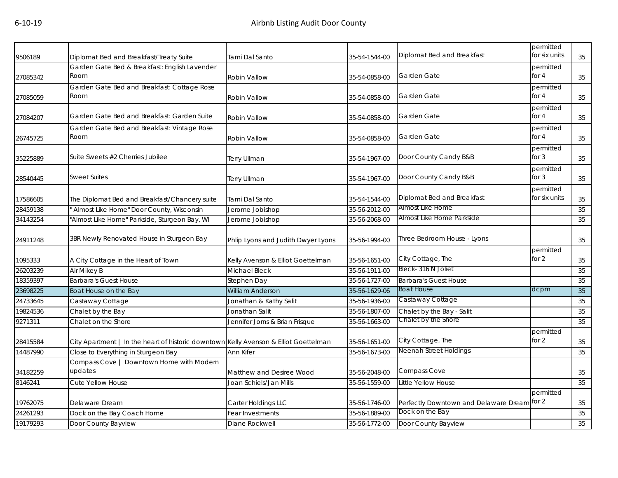| 9506189  | Diplomat Bed and Breakfast/Treaty Suite                                              | Tami Dal Santo                     | 35-54-1544-00 | Diplomat Bed and Breakfast                  | permitted<br>for six units | 35 |
|----------|--------------------------------------------------------------------------------------|------------------------------------|---------------|---------------------------------------------|----------------------------|----|
| 27085342 | Garden Gate Bed & Breakfast: English Lavender<br>Room                                | Robin Vallow                       | 35-54-0858-00 | Garden Gate                                 | permitted<br>for 4         | 35 |
| 27085059 | Garden Gate Bed and Breakfast: Cottage Rose<br>Room                                  | Robin Vallow                       | 35-54-0858-00 | Garden Gate                                 | permitted<br>for $4$       | 35 |
| 27084207 | Garden Gate Bed and Breakfast: Garden Suite                                          | <b>Robin Vallow</b>                | 35-54-0858-00 | Garden Gate                                 | permitted<br>for 4         | 35 |
| 26745725 | Garden Gate Bed and Breakfast: Vintage Rose<br>Room                                  | Robin Vallow                       | 35-54-0858-00 | Garden Gate                                 | permitted<br>for 4         | 35 |
| 35225889 | Suite Sweets #2 Cherries Jubilee                                                     | Terry Ullman                       | 35-54-1967-00 | Door County Candy B&B                       | permitted<br>for 3         | 35 |
| 28540445 | <b>Sweet Suites</b>                                                                  | Terry Ullman                       | 35-54-1967-00 | Door County Candy B&B                       | permitted<br>for 3         | 35 |
| 17586605 | The Diplomat Bed and Breakfast/Chancery suite                                        | Tami Dal Santo                     | 35-54-1544-00 | Diplomat Bed and Breakfast                  | permitted<br>for six units | 35 |
| 28459138 | Almost Like Home" Door County, Wisconsin                                             | Jerome Jobishop                    | 35-56-2012-00 | Almost Like Home                            |                            | 35 |
| 34143254 | "Almost Like Home" Parkside, Sturgeon Bay, WI                                        | Jerome Jobishop                    | 35-56-2068-00 | Almost Like Home Parkside                   |                            | 35 |
| 24911248 | 3BR Newly Renovated House in Sturgeon Bay                                            | Phlip Lyons and Judith Dwyer Lyons | 35-56-1994-00 | Three Bedroom House - Lyons                 |                            | 35 |
| 1095333  | A City Cottage in the Heart of Town                                                  | Kelly Avenson & Elliot Goettelman  | 35-56-1651-00 | City Cottage, The                           | permitted<br>for 2         | 35 |
| 26203239 | Air Mikey B                                                                          | <b>Michael Bleck</b>               | 35-56-1911-00 | Bleck-316 N Joliet                          |                            | 35 |
| 18359397 | <b>Barbara's Guest House</b>                                                         | Stephen Day                        | 35-56-1727-00 | <b>Barbara's Guest House</b>                |                            | 35 |
| 23698225 | Boat House on the Bay                                                                | <b>William Anderson</b>            | 35-56-1629-06 | <b>Boat House</b>                           | dcpm                       | 35 |
| 24733645 | Castaway Cottage                                                                     | Jonathan & Kathy Salit             | 35-56-1936-00 | Castaway Cottage                            |                            | 35 |
| 19824536 | Chalet by the Bay                                                                    | Jonathan Salit                     | 35-56-1807-00 | Chalet by the Bay - Salit                   |                            | 35 |
| 9271311  | Chalet on the Shore                                                                  | Jennifer Jorns & Brian Frisque     | 35-56-1663-00 | Chalet by the Shore                         |                            | 35 |
| 28415584 | City Apartment   In the heart of historic downtown Kelly Avenson & Elliot Goettelman |                                    | 35-56-1651-00 | City Cottage, The                           | permitted<br>for $2$       | 35 |
| 14487990 | Close to Everything in Sturgeon Bay                                                  | Ann Kifer                          | 35-56-1673-00 | <b>Neenah Street Holdings</b>               |                            | 35 |
| 34182259 | Compass Cove   Downtown Home with Modern<br>updates                                  | Matthew and Desiree Wood           | 35-56-2048-00 | Compass Cove                                |                            | 35 |
| 8146241  | Cute Yellow House                                                                    | Joan Schiels/Jan Mills             | 35-56-1559-00 | Little Yellow House                         |                            | 35 |
| 19762075 | Delaware Dream                                                                       | Carter Holdings LLC                | 35-56-1746-00 | Perfectly Downtown and Delaware Dream for 2 | permitted                  | 35 |
| 24261293 | Dock on the Bay Coach Home                                                           | <b>Fear Investments</b>            | 35-56-1889-00 | Dock on the Bay                             |                            | 35 |
| 19179293 | Door County Bayview                                                                  | Diane Rockwell                     | 35-56-1772-00 | Door County Bayview                         |                            | 35 |
|          |                                                                                      |                                    |               |                                             |                            |    |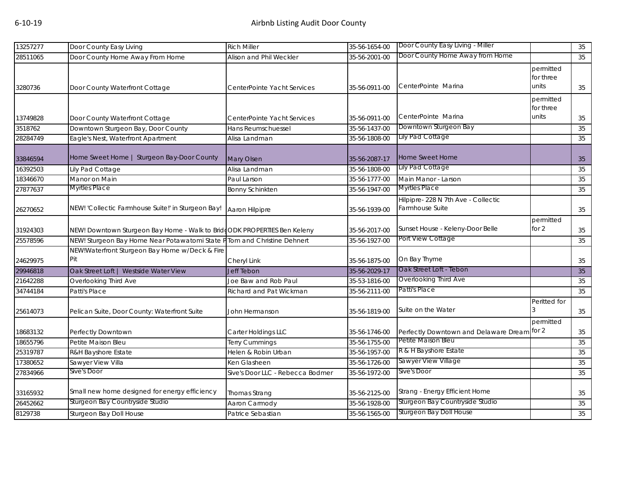| Door County Home Away from Home<br>Door County Home Away From Home<br>Alison and Phil Weckler<br>35-56-2001-00<br>35<br>permitted<br>for three<br>CenterPointe Marina<br>units<br>Door County Waterfront Cottage<br>35-56-0911-00<br>35<br>CenterPointe Yacht Services<br>permitted<br>for three<br>CenterPointe Marina<br>units<br>Door County Waterfront Cottage<br>35-56-0911-00<br>CenterPointe Yacht Services<br>35<br>Downtown Sturgeon Bay<br>Downtown Sturgeon Bay, Door County<br>35-56-1437-00<br>35<br>3518762<br>Hans Reumschuessel<br><b>Lily Pad Cottage</b><br>Eagle's Nest, Waterfront Apartment<br>35-56-1808-00<br>35<br>Alisa Landman<br>Home Sweet Home   Sturgeon Bay-Door County<br><b>Home Sweet Home</b><br><b>Mary Olsen</b><br>35-56-2087-17<br>35<br><b>Lily Pad Cottage</b><br>16392503<br>Lily Pad Cottage<br>Alisa Landman<br>35-56-1808-00<br>35<br>Manor on Main<br>18346670<br>35-56-1777-00<br>Main Manor - Larson<br>Paul Larson<br>35<br><b>Myrtles Place</b><br><b>Myrtles Place</b><br>27877637<br><b>Bonny Schinkten</b><br>35-56-1947-00<br>35<br>Hilpipre- 228 N 7th Ave - Collectic<br>Farmhouse Suite<br>NEW! 'Collectic Farmhouse Suite!' in Sturgeon Bay!<br>Aaron Hilpipre<br>35-56-1939-00<br>35<br>permitted<br>Sunset House - Keleny-Door Belle<br>for 2<br>NEW! Downtown Sturgeon Bay Home - Walk to BridgODK PROPERTIES Ben Keleny<br>35<br>35-56-2017-00<br>Port View Cottage<br>NEW! Sturgeon Bay Home Near Potawatomi State PTom and Christine Dehnert<br>35-56-1927-00<br>35<br>NEW!Waterfront Sturgeon Bay Home w/Deck & Fire<br>Pit<br>On Bay Thyme<br>Cheryl Link<br>35-56-1875-00<br>35<br>Oak Street Loft - Tebon<br>Oak Street Loft   Westside Water View<br>Jeff Tebon<br>35-56-2029-17<br>35<br>Overlooking Third Ave<br>Overlooking Third Ave<br>Joe Baw and Rob Paul<br>35-53-1816-00<br>35<br>Patti's Place<br>Patti's Place<br>35-56-2111-00<br>Richard and Pat Wickman<br>35<br>Peritted for<br>Suite on the Water<br>Pelican Suite, Door County: Waterfront Suite<br>35-56-1819-00<br>35<br>John Hermanson<br>permitted<br>Perfectly Downtown and Delaware Dream for 2<br>18683132<br>Perfectly Downtown<br>Carter Holdings LLC<br>35<br>35-56-1746-00<br>Petite Maison Bleu<br>18655796<br>Petite Maison Bleu<br>35-56-1755-00<br>35<br>Terry Cummings<br>R & H Bayshore Estate<br>25319787<br>35-56-1957-00<br>R&H Bayshore Estate<br>Helen & Robin Urban<br>35<br>Sawyer View Village<br>Sawyer View Villa<br>17380652<br>35-56-1726-00<br>35<br>Ken Glasheen<br>Sive's Door<br>Sive's Door<br>27834966<br>Sive's Door LLC - Rebecca Bodmer<br>35-56-1972-00<br>35<br>Small new home designed for energy efficiency<br>Strang - Energy Efficient Home<br>33165932<br>Thomas Strang<br>35-56-2125-00<br>35<br>Sturgeon Bay Countryside Studio<br>Sturgeon Bay Countryside Studio<br>Aaron Carmody<br>35-56-1928-00<br>35<br>Sturgeon Bay Doll House<br>35-56-1565-00<br>Sturgeon Bay Doll House<br>Patrice Sebastian<br>35 | 13257277 | Door County Easy Living | <b>Rich Miller</b> | 35-56-1654-00 | Door County Easy Living - Miller | 35 |
|---------------------------------------------------------------------------------------------------------------------------------------------------------------------------------------------------------------------------------------------------------------------------------------------------------------------------------------------------------------------------------------------------------------------------------------------------------------------------------------------------------------------------------------------------------------------------------------------------------------------------------------------------------------------------------------------------------------------------------------------------------------------------------------------------------------------------------------------------------------------------------------------------------------------------------------------------------------------------------------------------------------------------------------------------------------------------------------------------------------------------------------------------------------------------------------------------------------------------------------------------------------------------------------------------------------------------------------------------------------------------------------------------------------------------------------------------------------------------------------------------------------------------------------------------------------------------------------------------------------------------------------------------------------------------------------------------------------------------------------------------------------------------------------------------------------------------------------------------------------------------------------------------------------------------------------------------------------------------------------------------------------------------------------------------------------------------------------------------------------------------------------------------------------------------------------------------------------------------------------------------------------------------------------------------------------------------------------------------------------------------------------------------------------------------------------------------------------------------------------------------------------------------------------------------------------------------------------------------------------------------------------------------------------------------------------------------------------------------------------------------------------------------------------------------------------------------------------------------------------------------------------------------------------------------------------------------------------------------------------------------|----------|-------------------------|--------------------|---------------|----------------------------------|----|
|                                                                                                                                                                                                                                                                                                                                                                                                                                                                                                                                                                                                                                                                                                                                                                                                                                                                                                                                                                                                                                                                                                                                                                                                                                                                                                                                                                                                                                                                                                                                                                                                                                                                                                                                                                                                                                                                                                                                                                                                                                                                                                                                                                                                                                                                                                                                                                                                                                                                                                                                                                                                                                                                                                                                                                                                                                                                                                                                                                                                   | 28511065 |                         |                    |               |                                  |    |
|                                                                                                                                                                                                                                                                                                                                                                                                                                                                                                                                                                                                                                                                                                                                                                                                                                                                                                                                                                                                                                                                                                                                                                                                                                                                                                                                                                                                                                                                                                                                                                                                                                                                                                                                                                                                                                                                                                                                                                                                                                                                                                                                                                                                                                                                                                                                                                                                                                                                                                                                                                                                                                                                                                                                                                                                                                                                                                                                                                                                   | 3280736  |                         |                    |               |                                  |    |
|                                                                                                                                                                                                                                                                                                                                                                                                                                                                                                                                                                                                                                                                                                                                                                                                                                                                                                                                                                                                                                                                                                                                                                                                                                                                                                                                                                                                                                                                                                                                                                                                                                                                                                                                                                                                                                                                                                                                                                                                                                                                                                                                                                                                                                                                                                                                                                                                                                                                                                                                                                                                                                                                                                                                                                                                                                                                                                                                                                                                   | 13749828 |                         |                    |               |                                  |    |
|                                                                                                                                                                                                                                                                                                                                                                                                                                                                                                                                                                                                                                                                                                                                                                                                                                                                                                                                                                                                                                                                                                                                                                                                                                                                                                                                                                                                                                                                                                                                                                                                                                                                                                                                                                                                                                                                                                                                                                                                                                                                                                                                                                                                                                                                                                                                                                                                                                                                                                                                                                                                                                                                                                                                                                                                                                                                                                                                                                                                   |          |                         |                    |               |                                  |    |
|                                                                                                                                                                                                                                                                                                                                                                                                                                                                                                                                                                                                                                                                                                                                                                                                                                                                                                                                                                                                                                                                                                                                                                                                                                                                                                                                                                                                                                                                                                                                                                                                                                                                                                                                                                                                                                                                                                                                                                                                                                                                                                                                                                                                                                                                                                                                                                                                                                                                                                                                                                                                                                                                                                                                                                                                                                                                                                                                                                                                   | 28284749 |                         |                    |               |                                  |    |
|                                                                                                                                                                                                                                                                                                                                                                                                                                                                                                                                                                                                                                                                                                                                                                                                                                                                                                                                                                                                                                                                                                                                                                                                                                                                                                                                                                                                                                                                                                                                                                                                                                                                                                                                                                                                                                                                                                                                                                                                                                                                                                                                                                                                                                                                                                                                                                                                                                                                                                                                                                                                                                                                                                                                                                                                                                                                                                                                                                                                   | 33846594 |                         |                    |               |                                  |    |
|                                                                                                                                                                                                                                                                                                                                                                                                                                                                                                                                                                                                                                                                                                                                                                                                                                                                                                                                                                                                                                                                                                                                                                                                                                                                                                                                                                                                                                                                                                                                                                                                                                                                                                                                                                                                                                                                                                                                                                                                                                                                                                                                                                                                                                                                                                                                                                                                                                                                                                                                                                                                                                                                                                                                                                                                                                                                                                                                                                                                   |          |                         |                    |               |                                  |    |
|                                                                                                                                                                                                                                                                                                                                                                                                                                                                                                                                                                                                                                                                                                                                                                                                                                                                                                                                                                                                                                                                                                                                                                                                                                                                                                                                                                                                                                                                                                                                                                                                                                                                                                                                                                                                                                                                                                                                                                                                                                                                                                                                                                                                                                                                                                                                                                                                                                                                                                                                                                                                                                                                                                                                                                                                                                                                                                                                                                                                   |          |                         |                    |               |                                  |    |
|                                                                                                                                                                                                                                                                                                                                                                                                                                                                                                                                                                                                                                                                                                                                                                                                                                                                                                                                                                                                                                                                                                                                                                                                                                                                                                                                                                                                                                                                                                                                                                                                                                                                                                                                                                                                                                                                                                                                                                                                                                                                                                                                                                                                                                                                                                                                                                                                                                                                                                                                                                                                                                                                                                                                                                                                                                                                                                                                                                                                   |          |                         |                    |               |                                  |    |
|                                                                                                                                                                                                                                                                                                                                                                                                                                                                                                                                                                                                                                                                                                                                                                                                                                                                                                                                                                                                                                                                                                                                                                                                                                                                                                                                                                                                                                                                                                                                                                                                                                                                                                                                                                                                                                                                                                                                                                                                                                                                                                                                                                                                                                                                                                                                                                                                                                                                                                                                                                                                                                                                                                                                                                                                                                                                                                                                                                                                   | 26270652 |                         |                    |               |                                  |    |
|                                                                                                                                                                                                                                                                                                                                                                                                                                                                                                                                                                                                                                                                                                                                                                                                                                                                                                                                                                                                                                                                                                                                                                                                                                                                                                                                                                                                                                                                                                                                                                                                                                                                                                                                                                                                                                                                                                                                                                                                                                                                                                                                                                                                                                                                                                                                                                                                                                                                                                                                                                                                                                                                                                                                                                                                                                                                                                                                                                                                   | 31924303 |                         |                    |               |                                  |    |
|                                                                                                                                                                                                                                                                                                                                                                                                                                                                                                                                                                                                                                                                                                                                                                                                                                                                                                                                                                                                                                                                                                                                                                                                                                                                                                                                                                                                                                                                                                                                                                                                                                                                                                                                                                                                                                                                                                                                                                                                                                                                                                                                                                                                                                                                                                                                                                                                                                                                                                                                                                                                                                                                                                                                                                                                                                                                                                                                                                                                   | 25578596 |                         |                    |               |                                  |    |
|                                                                                                                                                                                                                                                                                                                                                                                                                                                                                                                                                                                                                                                                                                                                                                                                                                                                                                                                                                                                                                                                                                                                                                                                                                                                                                                                                                                                                                                                                                                                                                                                                                                                                                                                                                                                                                                                                                                                                                                                                                                                                                                                                                                                                                                                                                                                                                                                                                                                                                                                                                                                                                                                                                                                                                                                                                                                                                                                                                                                   | 24629975 |                         |                    |               |                                  |    |
|                                                                                                                                                                                                                                                                                                                                                                                                                                                                                                                                                                                                                                                                                                                                                                                                                                                                                                                                                                                                                                                                                                                                                                                                                                                                                                                                                                                                                                                                                                                                                                                                                                                                                                                                                                                                                                                                                                                                                                                                                                                                                                                                                                                                                                                                                                                                                                                                                                                                                                                                                                                                                                                                                                                                                                                                                                                                                                                                                                                                   | 29946818 |                         |                    |               |                                  |    |
|                                                                                                                                                                                                                                                                                                                                                                                                                                                                                                                                                                                                                                                                                                                                                                                                                                                                                                                                                                                                                                                                                                                                                                                                                                                                                                                                                                                                                                                                                                                                                                                                                                                                                                                                                                                                                                                                                                                                                                                                                                                                                                                                                                                                                                                                                                                                                                                                                                                                                                                                                                                                                                                                                                                                                                                                                                                                                                                                                                                                   | 21642288 |                         |                    |               |                                  |    |
|                                                                                                                                                                                                                                                                                                                                                                                                                                                                                                                                                                                                                                                                                                                                                                                                                                                                                                                                                                                                                                                                                                                                                                                                                                                                                                                                                                                                                                                                                                                                                                                                                                                                                                                                                                                                                                                                                                                                                                                                                                                                                                                                                                                                                                                                                                                                                                                                                                                                                                                                                                                                                                                                                                                                                                                                                                                                                                                                                                                                   | 34744184 |                         |                    |               |                                  |    |
|                                                                                                                                                                                                                                                                                                                                                                                                                                                                                                                                                                                                                                                                                                                                                                                                                                                                                                                                                                                                                                                                                                                                                                                                                                                                                                                                                                                                                                                                                                                                                                                                                                                                                                                                                                                                                                                                                                                                                                                                                                                                                                                                                                                                                                                                                                                                                                                                                                                                                                                                                                                                                                                                                                                                                                                                                                                                                                                                                                                                   | 25614073 |                         |                    |               |                                  |    |
|                                                                                                                                                                                                                                                                                                                                                                                                                                                                                                                                                                                                                                                                                                                                                                                                                                                                                                                                                                                                                                                                                                                                                                                                                                                                                                                                                                                                                                                                                                                                                                                                                                                                                                                                                                                                                                                                                                                                                                                                                                                                                                                                                                                                                                                                                                                                                                                                                                                                                                                                                                                                                                                                                                                                                                                                                                                                                                                                                                                                   |          |                         |                    |               |                                  |    |
|                                                                                                                                                                                                                                                                                                                                                                                                                                                                                                                                                                                                                                                                                                                                                                                                                                                                                                                                                                                                                                                                                                                                                                                                                                                                                                                                                                                                                                                                                                                                                                                                                                                                                                                                                                                                                                                                                                                                                                                                                                                                                                                                                                                                                                                                                                                                                                                                                                                                                                                                                                                                                                                                                                                                                                                                                                                                                                                                                                                                   |          |                         |                    |               |                                  |    |
|                                                                                                                                                                                                                                                                                                                                                                                                                                                                                                                                                                                                                                                                                                                                                                                                                                                                                                                                                                                                                                                                                                                                                                                                                                                                                                                                                                                                                                                                                                                                                                                                                                                                                                                                                                                                                                                                                                                                                                                                                                                                                                                                                                                                                                                                                                                                                                                                                                                                                                                                                                                                                                                                                                                                                                                                                                                                                                                                                                                                   |          |                         |                    |               |                                  |    |
|                                                                                                                                                                                                                                                                                                                                                                                                                                                                                                                                                                                                                                                                                                                                                                                                                                                                                                                                                                                                                                                                                                                                                                                                                                                                                                                                                                                                                                                                                                                                                                                                                                                                                                                                                                                                                                                                                                                                                                                                                                                                                                                                                                                                                                                                                                                                                                                                                                                                                                                                                                                                                                                                                                                                                                                                                                                                                                                                                                                                   |          |                         |                    |               |                                  |    |
|                                                                                                                                                                                                                                                                                                                                                                                                                                                                                                                                                                                                                                                                                                                                                                                                                                                                                                                                                                                                                                                                                                                                                                                                                                                                                                                                                                                                                                                                                                                                                                                                                                                                                                                                                                                                                                                                                                                                                                                                                                                                                                                                                                                                                                                                                                                                                                                                                                                                                                                                                                                                                                                                                                                                                                                                                                                                                                                                                                                                   |          |                         |                    |               |                                  |    |
|                                                                                                                                                                                                                                                                                                                                                                                                                                                                                                                                                                                                                                                                                                                                                                                                                                                                                                                                                                                                                                                                                                                                                                                                                                                                                                                                                                                                                                                                                                                                                                                                                                                                                                                                                                                                                                                                                                                                                                                                                                                                                                                                                                                                                                                                                                                                                                                                                                                                                                                                                                                                                                                                                                                                                                                                                                                                                                                                                                                                   |          |                         |                    |               |                                  |    |
|                                                                                                                                                                                                                                                                                                                                                                                                                                                                                                                                                                                                                                                                                                                                                                                                                                                                                                                                                                                                                                                                                                                                                                                                                                                                                                                                                                                                                                                                                                                                                                                                                                                                                                                                                                                                                                                                                                                                                                                                                                                                                                                                                                                                                                                                                                                                                                                                                                                                                                                                                                                                                                                                                                                                                                                                                                                                                                                                                                                                   | 26452662 |                         |                    |               |                                  |    |
|                                                                                                                                                                                                                                                                                                                                                                                                                                                                                                                                                                                                                                                                                                                                                                                                                                                                                                                                                                                                                                                                                                                                                                                                                                                                                                                                                                                                                                                                                                                                                                                                                                                                                                                                                                                                                                                                                                                                                                                                                                                                                                                                                                                                                                                                                                                                                                                                                                                                                                                                                                                                                                                                                                                                                                                                                                                                                                                                                                                                   | 8129738  |                         |                    |               |                                  |    |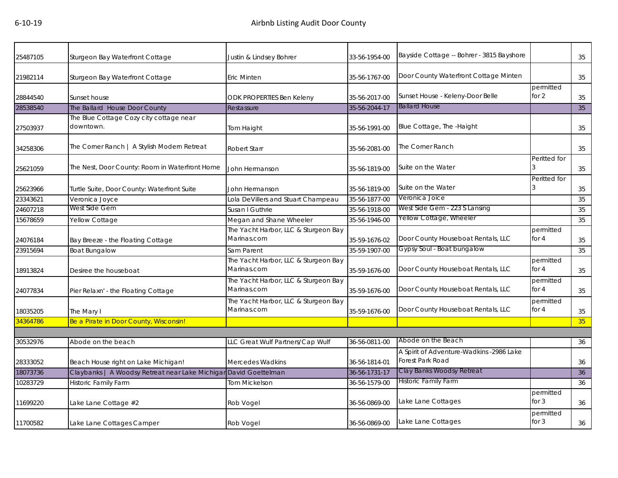| 25487105 | Sturgeon Bay Waterfront Cottage                                  | Justin & Lindsey Bohrer                             | 33-56-1954-00 | Bayside Cottage -- Bohrer - 3815 Bayshore                    |                      | 35 |
|----------|------------------------------------------------------------------|-----------------------------------------------------|---------------|--------------------------------------------------------------|----------------------|----|
| 21982114 | Sturgeon Bay Waterfront Cottage                                  | Eric Minten                                         | 35-56-1767-00 | Door County Waterfront Cottage Minten                        |                      | 35 |
| 28844540 | Sunset house                                                     | ODK PROPERTIES Ben Keleny                           | 35-56-2017-00 | Sunset House - Keleny-Door Belle                             | permitted<br>for $2$ | 35 |
| 28538540 | The Ballard House Door County                                    | Restassure                                          | 35-56-2044-17 | <b>Ballard House</b>                                         |                      | 35 |
| 27503937 | The Blue Cottage Cozy city cottage near<br>downtown.             | Tom Haight                                          | 35-56-1991-00 | Blue Cottage, The -Haight                                    |                      | 35 |
| 34258306 | The Corner Ranch   A Stylish Modern Retreat                      | Robert Starr                                        | 35-56-2081-00 | The Corner Ranch                                             |                      | 35 |
| 25621059 | The Nest, Door County: Room in Waterfront Home                   | John Hermanson                                      | 35-56-1819-00 | Suite on the Water                                           | Peritted for         | 35 |
| 25623966 | Turtle Suite, Door County: Waterfront Suite                      | John Hermanson                                      | 35-56-1819-00 | Suite on the Water                                           | Peritted for         | 35 |
| 23343621 | Veronica Joyce                                                   | Lola DeVillers and Stuart Champeau                  | 35-56-1877-00 | Veronica Joice                                               |                      | 35 |
| 24607218 | West Side Gem                                                    | Susan I Guthrie                                     | 35-56-1918-00 | West Side Gem - 223 S Lansing                                |                      | 35 |
| 15678659 | Yellow Cottage                                                   | Megan and Shane Wheeler                             | 35-56-1946-00 | Yellow Cottage, Wheeler                                      |                      | 35 |
| 24076184 | Bay Breeze - the Floating Cottage                                | The Yacht Harbor, LLC & Sturgeon Bay<br>Marinas.com | 35-59-1676-02 | Door County Houseboat Rentals, LLC                           | permitted<br>for 4   | 35 |
| 23915694 | <b>Boat Bungalow</b>                                             | Sam Parent                                          | 35-59-1907-00 | Gypsy Soul - Boat bungalow                                   |                      | 35 |
| 18913824 | Desiree the houseboat                                            | The Yacht Harbor, LLC & Sturgeon Bay<br>Marinas.com | 35-59-1676-00 | Door County Houseboat Rentals, LLC                           | permitted<br>for $4$ | 35 |
| 24077834 | Pier Relaxn' - the Floating Cottage                              | The Yacht Harbor, LLC & Sturgeon Bay<br>Marinas.com | 35-59-1676-00 | Door County Houseboat Rentals, LLC                           | permitted<br>for $4$ | 35 |
| 18035205 | The Mary I                                                       | The Yacht Harbor, LLC & Sturgeon Bay<br>Marinas.com | 35-59-1676-00 | Door County Houseboat Rentals, LLC                           | permitted<br>for $4$ | 35 |
| 34364786 | Be a Pirate in Door County, Wisconsin!                           |                                                     |               |                                                              |                      | 35 |
|          |                                                                  |                                                     |               |                                                              |                      |    |
| 30532976 | Abode on the beach                                               | LLC Great Wulf Partners/Cap Wulf                    | 36-56-0811-00 | Abode on the Beach                                           |                      | 36 |
| 28333052 | Beach House right on Lake Michigan!                              | <b>Mercedes Wadkins</b>                             | 36-56-1814-01 | A Spirit of Adventure-Wadkins -2986 Lake<br>Forest Park Road |                      | 36 |
| 18073736 | Claybanks   A Woodsy Retreat near Lake Michigar David Goettelman |                                                     | 36-56-1731-17 | Clay Banks Woodsy Retreat                                    |                      | 36 |
| 10283729 | <b>Historic Family Farm</b>                                      | Tom Mickelson                                       | 36-56-1579-00 | <b>Historic Family Farm</b>                                  |                      | 36 |
| 11699220 | Lake Lane Cottage #2                                             | Rob Vogel                                           | 36-56-0869-00 | Lake Lane Cottages                                           | permitted<br>for $3$ | 36 |
| 11700582 | Lake Lane Cottages Camper                                        | Rob Vogel                                           | 36-56-0869-00 | Lake Lane Cottages                                           | permitted<br>for $3$ | 36 |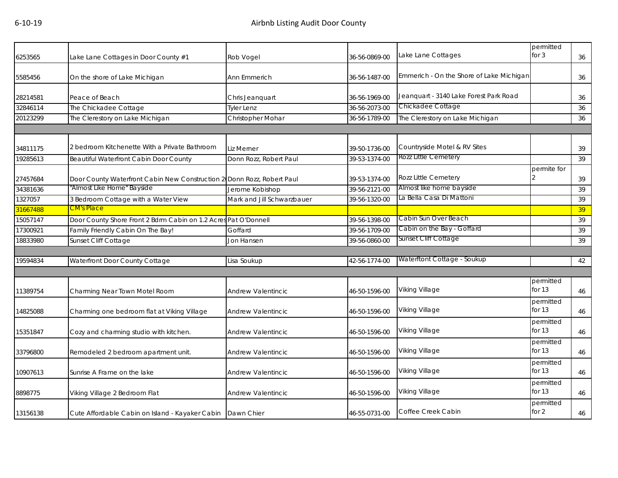| 6253565  | Lake Lane Cottages in Door County #1                                   | Rob Vogel                  | 36-56-0869-00 | Lake Lane Cottages                       | permitted<br>for $3$  | 36 |
|----------|------------------------------------------------------------------------|----------------------------|---------------|------------------------------------------|-----------------------|----|
| 5585456  | On the shore of Lake Michigan                                          | Ann Emmerich               | 36-56-1487-00 | Emmerich - On the Shore of Lake Michigan |                       | 36 |
| 28214581 | Peace of Beach                                                         | Chris Jeanquart            | 36-56-1969-00 | Jeanquart - 3140 Lake Forest Park Road   |                       | 36 |
| 32846114 | The Chickadee Cottage                                                  | <b>Tyler Lenz</b>          | 36-56-2073-00 | Chickadee Cottage                        |                       | 36 |
| 20123299 | The Clerestory on Lake Michigan                                        | Christopher Mohar          | 36-56-1789-00 | The Clerestory on Lake Michigan          |                       | 36 |
|          |                                                                        |                            |               |                                          |                       |    |
| 34811175 | 2 bedroom Kitchenette With a Private Bathroom                          | Liz Merner                 | 39-50-1736-00 | Countryside Motel & RV Sites             |                       | 39 |
| 19285613 | Beautiful Waterfront Cabin Door County                                 | Donn Rozz, Robert Paul     | 39-53-1374-00 | Rozz Little Cemetery                     |                       | 39 |
| 27457684 | Door County Waterfront Cabin New Construction 2 Donn Rozz, Robert Paul |                            | 39-53-1374-00 | Rozz Little Cemetery                     | permite for           | 39 |
| 34381636 | "Almost Like Home" Bayside                                             | Jerome Kobishop            | 39-56-2121-00 | Almost like home bayside                 |                       | 39 |
| 1327057  | 3 Bedroom Cottage with a Water View                                    | Mark and Jill Schwarzbauer | 39-56-1320-00 | La Bella Casa Di Mattoni                 |                       | 39 |
| 31667488 | CM's Place                                                             |                            |               |                                          |                       | 39 |
| 15057147 | Door County Shore Front 2 Bdrm Cabin on 1.2 Acres Pat O'Donnell        |                            | 39-56-1398-00 | Cabin Sun Over Beach                     |                       | 39 |
| 17300921 | Family Friendly Cabin On The Bay!                                      | Goffard                    | 39-56-1709-00 | Cabin on the Bay - Goffard               |                       | 39 |
| 18833980 | Sunset Cliff Cottage                                                   | Jon Hansen                 | 39-56-0860-00 | Sunset Cliff Cottage                     |                       | 39 |
|          |                                                                        |                            |               |                                          |                       |    |
| 19594834 | Waterfront Door County Cottage                                         | Lisa Soukup                | 42-56-1774-00 | Waterftont Cottage - Soukup              |                       | 42 |
|          |                                                                        |                            |               |                                          |                       |    |
| 11389754 | Charming Near Town Motel Room                                          | Andrew Valentincic         | 46-50-1596-00 | Viking Village                           | permitted<br>for $13$ | 46 |
| 14825088 | Charming one bedroom flat at Viking Village                            | Andrew Valentincic         | 46-50-1596-00 | Viking Village                           | permitted<br>for $13$ | 46 |
| 15351847 | Cozy and charming studio with kitchen.                                 | Andrew Valentincic         | 46-50-1596-00 | Viking Village                           | permitted<br>for 13   | 46 |
| 33796800 | Remodeled 2 bedroom apartment unit.                                    | Andrew Valentincic         | 46-50-1596-00 | Viking Village                           | permitted<br>for $13$ | 46 |
| 10907613 | Sunrise A Frame on the lake                                            | Andrew Valentincic         | 46-50-1596-00 | Viking Village                           | permitted<br>for $13$ | 46 |
| 8898775  | Viking Village 2 Bedroom Flat                                          | Andrew Valentincic         | 46-50-1596-00 | Viking Village                           | permitted<br>for $13$ | 46 |
| 13156138 | Cute Affordable Cabin on Island - Kayaker Cabin   Dawn Chier           |                            | 46-55-0731-00 | Coffee Creek Cabin                       | permitted<br>for $2$  | 46 |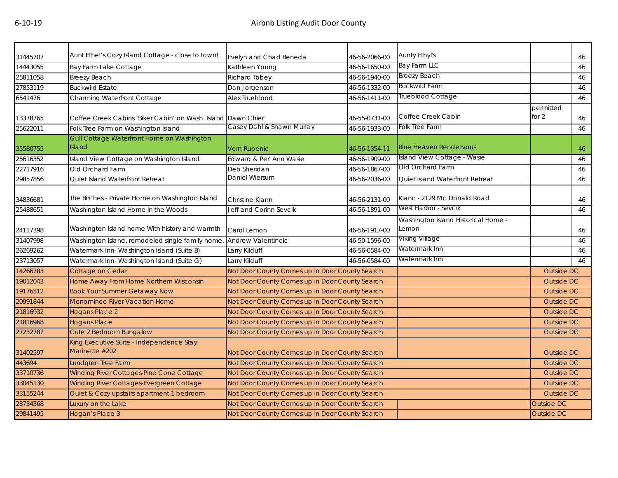| 31445707 | Aunt Ethel's Cozy Island Cottage - close to town!            | Evelyn and Chad Beneda                         | 46-56-2066-00 | Aunty Ethyl's                                |                      | 46 |
|----------|--------------------------------------------------------------|------------------------------------------------|---------------|----------------------------------------------|----------------------|----|
| 14443055 | Bay Farm Lake Cottage                                        | Kathleen Young                                 | 46-56-1650-00 | <b>Bay Farm LLC</b>                          |                      | 46 |
| 25811058 | Breezy Beach                                                 | Richard Tobey                                  | 46-56-1940-00 | <b>Breezy Beach</b>                          |                      | 46 |
| 27853119 | <b>Buckwild Estate</b>                                       | Dan Jorgenson                                  | 46-56-1332-00 | <b>Buckwild Farm</b>                         |                      | 46 |
| 6541476  | Charming Waterfront Cottage                                  | Alex Trueblood                                 | 46-56-1411-00 | Trueblood Cottage                            |                      | 46 |
| 13378765 | Coffee Creek Cabins "Biker Cabin" on Wash. Island Dawn Chier |                                                | 46-55-0731-00 | Coffee Creek Cabin                           | permitted<br>for $2$ | 46 |
| 25622011 | Folk Tree Farm on Washington Island                          | Casey Dahl & Shawn Murray                      | 46-56-1933-00 | Folk Tree Farm                               |                      | 46 |
| 35580755 | Gull Cottage Waterfront Home on Washington<br>Island         | <b>Vern Rubenic</b>                            | 46-56-1354-11 | <b>Blue Heaven Rendezvous</b>                |                      | 46 |
| 25616352 | Island View Cottage on Washington Island                     | Edward & Peri Ann Wasie                        | 46-56-1909-00 | Island View Cottage - Wasie                  |                      | 46 |
| 22717916 | Old Orchard Farm                                             | Deb Sheridan                                   | 46-56-1867-00 | Old Orchard Farm                             |                      | 46 |
| 29857856 | Quiet Island Waterfront Retreat                              | Daniel Wiersum                                 | 46-56-2036-00 | Quiet Island Waterfront Retreat              |                      | 46 |
| 34836681 | The Birches - Private Home on Washington Island              | Christine Klann                                | 46-56-2131-00 | Klann - 2129 Mc Donald Road                  |                      | 46 |
| 25488651 | Washington Island Home in the Woods                          | Jeff and Corinn Sevcik                         | 46-56-1891-00 | West Harbor - Sevcik                         |                      | 46 |
| 24117398 | Washington Island home With history and warmth               | Carol Lemon                                    | 46-56-1917-00 | Washington Island Historical Home -<br>Lemon |                      | 46 |
| 31407998 | Washington Island, remodeled single family home.             | <b>Andrew Valentincic</b>                      | 46-50-1596-00 | Viking Village                               |                      | 46 |
| 26269262 | Watermark Inn-Washington Island (Suite B)                    | Larry Kilduff                                  | 46-56-0584-00 | Watermark Inn                                |                      | 46 |
| 23713057 | Watermark Inn- Washington Island (Suite G)                   | Larry Kilduff                                  | 46-56-0584-00 | Watermark Inn                                |                      | 46 |
| 14266783 | Cottage on Cedar                                             | Not Door County Comes up in Door County Search |               |                                              | Outside DC           |    |
| 19012043 | Home Away From Home Northern Wisconsin                       | Not Door County Comes up in Door County Search |               |                                              | <b>Outside DC</b>    |    |
| 19176512 | <b>Book Your Summer Getaway Now</b>                          | Not Door County Comes up in Door County Search |               |                                              | <b>Outside DC</b>    |    |
| 20991844 | <b>Menominee River Vacation Home</b>                         | Not Door County Comes up in Door County Search |               |                                              | <b>Outside DC</b>    |    |
| 21816932 | <b>Hogans Place 2</b>                                        | Not Door County Comes up in Door County Search |               |                                              | <b>Outside DC</b>    |    |
| 21816968 | <b>Hogans Place</b>                                          | Not Door County Comes up in Door County Search |               |                                              | <b>Outside DC</b>    |    |
| 27232787 | Cute 2 Bedroom Bungalow                                      | Not Door County Comes up in Door County Search |               |                                              | <b>Outside DC</b>    |    |
| 31402597 | King Executive Suite - Independence Stay<br>Marinette #202   | Not Door County Comes up in Door County Search |               |                                              | Outside DC           |    |
| 443694   | Lundgren Tree Farm                                           | Not Door County Comes up in Door County Search |               |                                              | <b>Outside DC</b>    |    |
| 33710736 | Winding River Cottages-Pine Cone Cottage                     | Not Door County Comes up in Door County Search |               |                                              | <b>Outside DC</b>    |    |
| 33045130 | Winding River Cottages-Evergreen Cottage                     | Not Door County Comes up in Door County Search |               |                                              | <b>Outside DC</b>    |    |
| 33155244 | Quiet & Cozy upstairs apartment 1 bedroom                    | Not Door County Comes up in Door County Search |               |                                              | <b>Outside DC</b>    |    |
| 28734368 | Luxury on the Lake                                           | Not Door County Comes up in Door County Search |               |                                              | <b>Outside DC</b>    |    |
| 29841495 | Hogan's Place 3                                              | Not Door County Comes up in Door County Search |               |                                              | Outside DC           |    |